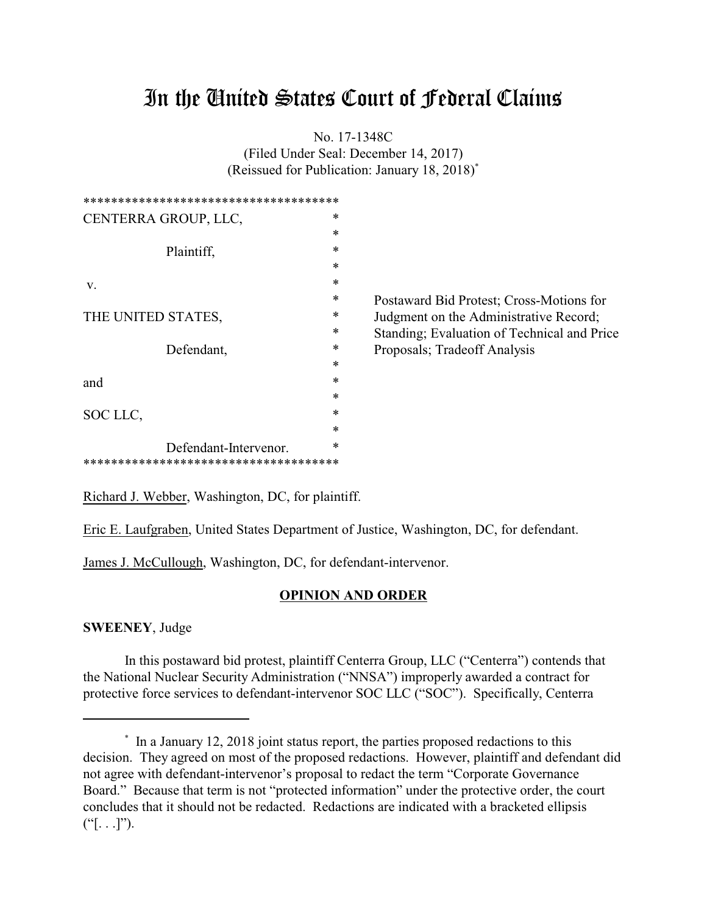# In the United States Court of Federal Claims

No. 17-1348C

(Filed Under Seal: December 14, 2017) (Reissued for Publication: January 18, 2018)\*

| *************************************  |        |                                             |
|----------------------------------------|--------|---------------------------------------------|
| CENTERRA GROUP, LLC,                   | $\ast$ |                                             |
|                                        | $\ast$ |                                             |
| Plaintiff,                             | $\ast$ |                                             |
|                                        | $\ast$ |                                             |
| V.                                     | $\ast$ |                                             |
|                                        | $\ast$ | Postaward Bid Protest; Cross-Motions for    |
| THE UNITED STATES,                     | ∗      | Judgment on the Administrative Record;      |
|                                        | ∗      | Standing; Evaluation of Technical and Price |
| Defendant,                             | ∗      | Proposals; Tradeoff Analysis                |
|                                        | $\ast$ |                                             |
| and                                    | $\ast$ |                                             |
|                                        | $\ast$ |                                             |
| SOC LLC,                               | $\ast$ |                                             |
|                                        | $\ast$ |                                             |
| Defendant-Intervenor.                  | *      |                                             |
| ************************************** |        |                                             |

Richard J. Webber, Washington, DC, for plaintiff.

Eric E. Laufgraben, United States Department of Justice, Washington, DC, for defendant.

James J. McCullough, Washington, DC, for defendant-intervenor.

#### **OPINION AND ORDER**

**SWEENEY**, Judge

In this postaward bid protest, plaintiff Centerra Group, LLC ("Centerra") contends that the National Nuclear Security Administration ("NNSA") improperly awarded a contract for protective force services to defendant-intervenor SOC LLC ("SOC"). Specifically, Centerra

<sup>\*</sup> In a January 12, 2018 joint status report, the parties proposed redactions to this decision. They agreed on most of the proposed redactions. However, plaintiff and defendant did not agree with defendant-intervenor's proposal to redact the term "Corporate Governance Board." Because that term is not "protected information" under the protective order, the court concludes that it should not be redacted. Redactions are indicated with a bracketed ellipsis  $("[...]").$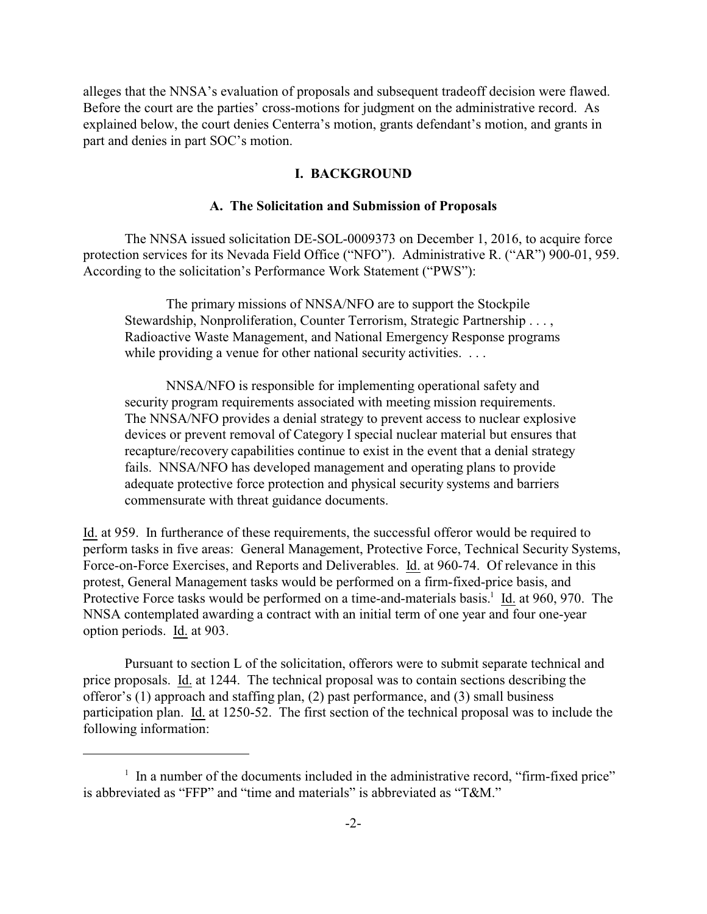alleges that the NNSA's evaluation of proposals and subsequent tradeoff decision were flawed. Before the court are the parties' cross-motions for judgment on the administrative record. As explained below, the court denies Centerra's motion, grants defendant's motion, and grants in part and denies in part SOC's motion.

## **I. BACKGROUND**

#### **A. The Solicitation and Submission of Proposals**

The NNSA issued solicitation DE-SOL-0009373 on December 1, 2016, to acquire force protection services for its Nevada Field Office ("NFO"). Administrative R. ("AR") 900-01, 959. According to the solicitation's Performance Work Statement ("PWS"):

The primary missions of NNSA/NFO are to support the Stockpile Stewardship, Nonproliferation, Counter Terrorism, Strategic Partnership . . . , Radioactive Waste Management, and National Emergency Response programs while providing a venue for other national security activities. ...

NNSA/NFO is responsible for implementing operational safety and security program requirements associated with meeting mission requirements. The NNSA/NFO provides a denial strategy to prevent access to nuclear explosive devices or prevent removal of Category I special nuclear material but ensures that recapture/recovery capabilities continue to exist in the event that a denial strategy fails. NNSA/NFO has developed management and operating plans to provide adequate protective force protection and physical security systems and barriers commensurate with threat guidance documents.

Id. at 959. In furtherance of these requirements, the successful offeror would be required to perform tasks in five areas: General Management, Protective Force, Technical Security Systems, Force-on-Force Exercises, and Reports and Deliverables. Id. at 960-74. Of relevance in this protest, General Management tasks would be performed on a firm-fixed-price basis, and Protective Force tasks would be performed on a time-and-materials basis.<sup>1</sup> Id. at 960, 970. The NNSA contemplated awarding a contract with an initial term of one year and four one-year option periods. Id. at 903.

Pursuant to section L of the solicitation, offerors were to submit separate technical and price proposals. Id. at 1244. The technical proposal was to contain sections describing the offeror's (1) approach and staffing plan, (2) past performance, and (3) small business participation plan. Id. at 1250-52. The first section of the technical proposal was to include the following information:

<sup>&</sup>lt;sup>1</sup> In a number of the documents included in the administrative record, "firm-fixed price" is abbreviated as "FFP" and "time and materials" is abbreviated as "T&M."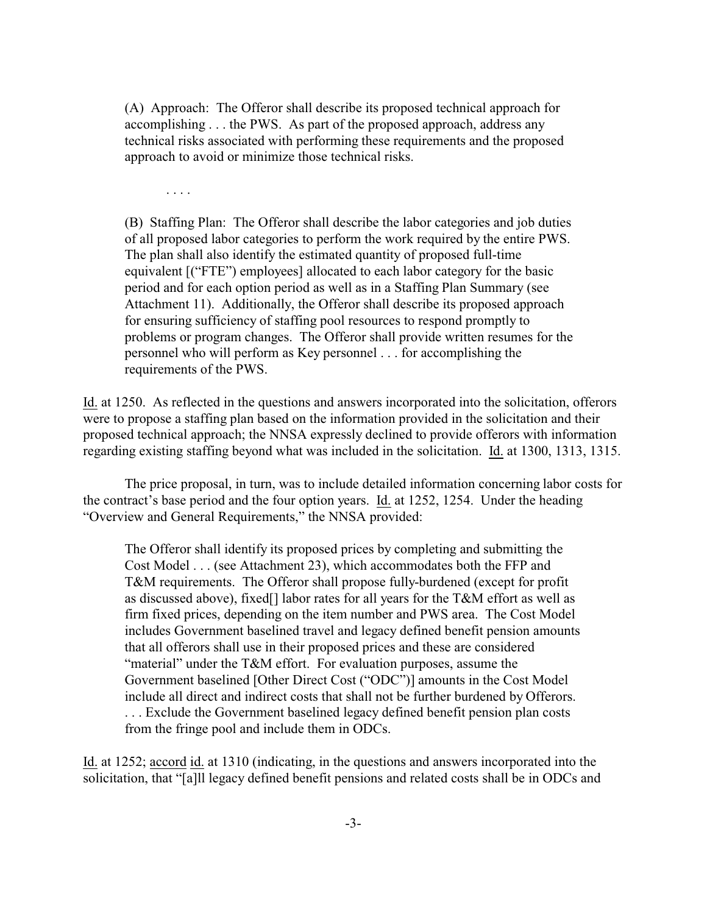(A) Approach: The Offeror shall describe its proposed technical approach for accomplishing . . . the PWS. As part of the proposed approach, address any technical risks associated with performing these requirements and the proposed approach to avoid or minimize those technical risks.

. . . .

(B) Staffing Plan: The Offeror shall describe the labor categories and job duties of all proposed labor categories to perform the work required by the entire PWS. The plan shall also identify the estimated quantity of proposed full-time equivalent [("FTE") employees] allocated to each labor category for the basic period and for each option period as well as in a Staffing Plan Summary (see Attachment 11). Additionally, the Offeror shall describe its proposed approach for ensuring sufficiency of staffing pool resources to respond promptly to problems or program changes. The Offeror shall provide written resumes for the personnel who will perform as Key personnel . . . for accomplishing the requirements of the PWS.

Id. at 1250. As reflected in the questions and answers incorporated into the solicitation, offerors were to propose a staffing plan based on the information provided in the solicitation and their proposed technical approach; the NNSA expressly declined to provide offerors with information regarding existing staffing beyond what was included in the solicitation. Id. at 1300, 1313, 1315.

The price proposal, in turn, was to include detailed information concerning labor costs for the contract's base period and the four option years. Id. at 1252, 1254. Under the heading "Overview and General Requirements," the NNSA provided:

The Offeror shall identify its proposed prices by completing and submitting the Cost Model . . . (see Attachment 23), which accommodates both the FFP and T&M requirements. The Offeror shall propose fully-burdened (except for profit as discussed above), fixed[] labor rates for all years for the T&M effort as well as firm fixed prices, depending on the item number and PWS area. The Cost Model includes Government baselined travel and legacy defined benefit pension amounts that all offerors shall use in their proposed prices and these are considered "material" under the T&M effort. For evaluation purposes, assume the Government baselined [Other Direct Cost ("ODC")] amounts in the Cost Model include all direct and indirect costs that shall not be further burdened by Offerors. . . . Exclude the Government baselined legacy defined benefit pension plan costs from the fringe pool and include them in ODCs.

Id. at 1252; accord id. at 1310 (indicating, in the questions and answers incorporated into the solicitation, that "[a]ll legacy defined benefit pensions and related costs shall be in ODCs and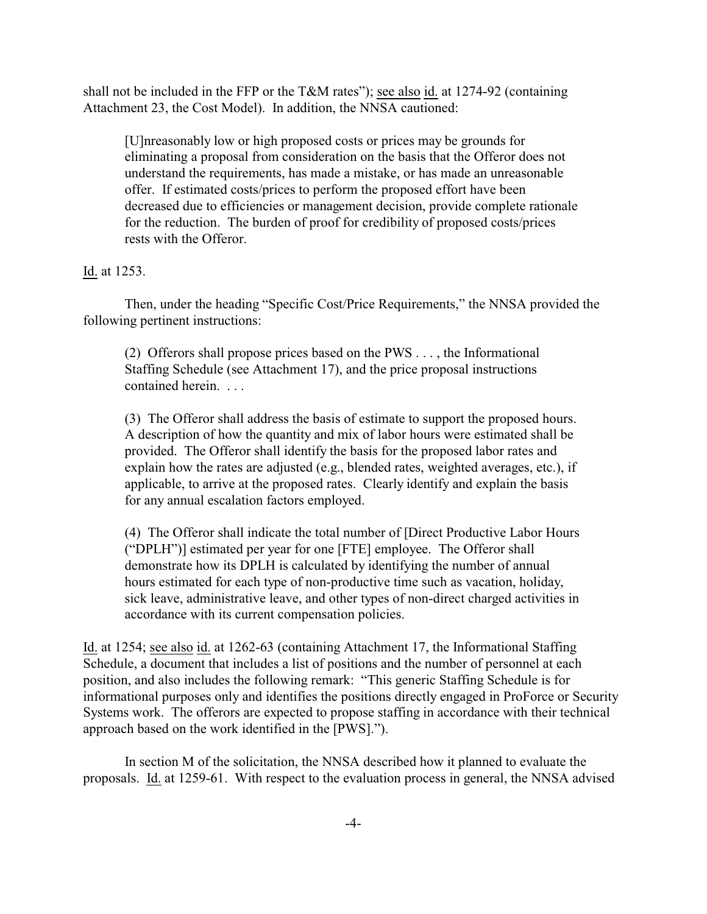shall not be included in the FFP or the T&M rates"); see also id. at 1274-92 (containing Attachment 23, the Cost Model). In addition, the NNSA cautioned:

[U]nreasonably low or high proposed costs or prices may be grounds for eliminating a proposal from consideration on the basis that the Offeror does not understand the requirements, has made a mistake, or has made an unreasonable offer. If estimated costs/prices to perform the proposed effort have been decreased due to efficiencies or management decision, provide complete rationale for the reduction. The burden of proof for credibility of proposed costs/prices rests with the Offeror.

#### Id. at 1253.

Then, under the heading "Specific Cost/Price Requirements," the NNSA provided the following pertinent instructions:

(2) Offerors shall propose prices based on the PWS . . . , the Informational Staffing Schedule (see Attachment 17), and the price proposal instructions contained herein. . . .

(3) The Offeror shall address the basis of estimate to support the proposed hours. A description of how the quantity and mix of labor hours were estimated shall be provided. The Offeror shall identify the basis for the proposed labor rates and explain how the rates are adjusted (e.g., blended rates, weighted averages, etc.), if applicable, to arrive at the proposed rates. Clearly identify and explain the basis for any annual escalation factors employed.

(4) The Offeror shall indicate the total number of [Direct Productive Labor Hours ("DPLH")] estimated per year for one [FTE] employee. The Offeror shall demonstrate how its DPLH is calculated by identifying the number of annual hours estimated for each type of non-productive time such as vacation, holiday, sick leave, administrative leave, and other types of non-direct charged activities in accordance with its current compensation policies.

Id. at 1254; see also id. at 1262-63 (containing Attachment 17, the Informational Staffing Schedule, a document that includes a list of positions and the number of personnel at each position, and also includes the following remark: "This generic Staffing Schedule is for informational purposes only and identifies the positions directly engaged in ProForce or Security Systems work. The offerors are expected to propose staffing in accordance with their technical approach based on the work identified in the [PWS].").

In section M of the solicitation, the NNSA described how it planned to evaluate the proposals. Id. at 1259-61. With respect to the evaluation process in general, the NNSA advised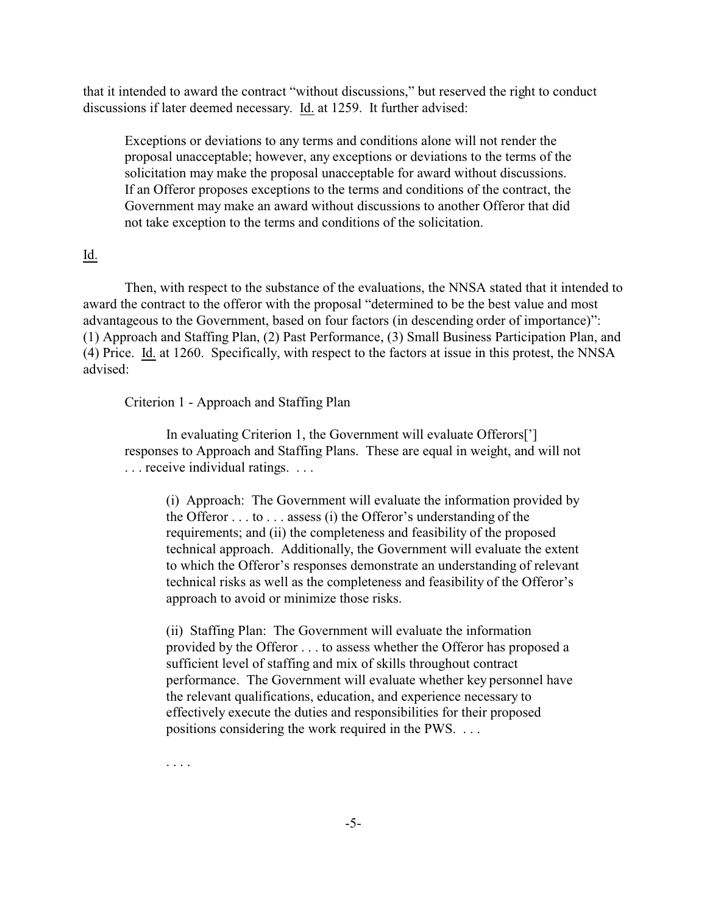that it intended to award the contract "without discussions," but reserved the right to conduct discussions if later deemed necessary. Id. at 1259. It further advised:

Exceptions or deviations to any terms and conditions alone will not render the proposal unacceptable; however, any exceptions or deviations to the terms of the solicitation may make the proposal unacceptable for award without discussions. If an Offeror proposes exceptions to the terms and conditions of the contract, the Government may make an award without discussions to another Offeror that did not take exception to the terms and conditions of the solicitation.

# Id.

Then, with respect to the substance of the evaluations, the NNSA stated that it intended to award the contract to the offeror with the proposal "determined to be the best value and most advantageous to the Government, based on four factors (in descending order of importance)": (1) Approach and Staffing Plan, (2) Past Performance, (3) Small Business Participation Plan, and (4) Price. Id. at 1260. Specifically, with respect to the factors at issue in this protest, the NNSA advised:

Criterion 1 - Approach and Staffing Plan

In evaluating Criterion 1, the Government will evaluate Offerors['] responses to Approach and Staffing Plans. These are equal in weight, and will not . . . receive individual ratings. . . .

(i) Approach: The Government will evaluate the information provided by the Offeror . . . to . . . assess (i) the Offeror's understanding of the requirements; and (ii) the completeness and feasibility of the proposed technical approach. Additionally, the Government will evaluate the extent to which the Offeror's responses demonstrate an understanding of relevant technical risks as well as the completeness and feasibility of the Offeror's approach to avoid or minimize those risks.

(ii) Staffing Plan: The Government will evaluate the information provided by the Offeror . . . to assess whether the Offeror has proposed a sufficient level of staffing and mix of skills throughout contract performance. The Government will evaluate whether key personnel have the relevant qualifications, education, and experience necessary to effectively execute the duties and responsibilities for their proposed positions considering the work required in the PWS. . . .

. . . .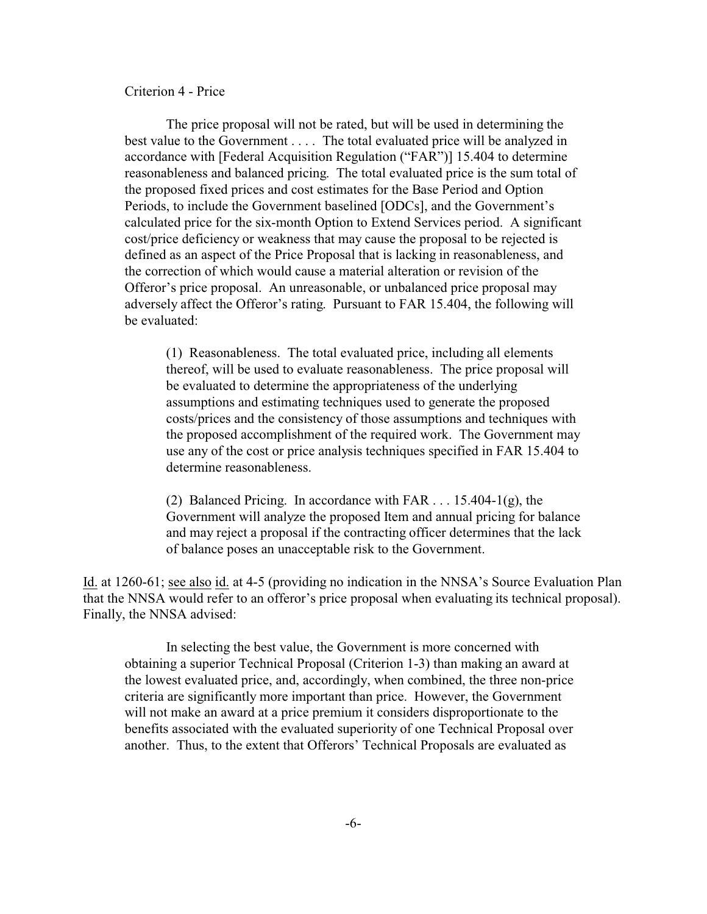#### Criterion 4 - Price

The price proposal will not be rated, but will be used in determining the best value to the Government . . . . The total evaluated price will be analyzed in accordance with [Federal Acquisition Regulation ("FAR")] 15.404 to determine reasonableness and balanced pricing. The total evaluated price is the sum total of the proposed fixed prices and cost estimates for the Base Period and Option Periods, to include the Government baselined [ODCs], and the Government's calculated price for the six-month Option to Extend Services period. A significant cost/price deficiency or weakness that may cause the proposal to be rejected is defined as an aspect of the Price Proposal that is lacking in reasonableness, and the correction of which would cause a material alteration or revision of the Offeror's price proposal. An unreasonable, or unbalanced price proposal may adversely affect the Offeror's rating. Pursuant to FAR 15.404, the following will be evaluated:

(1) Reasonableness. The total evaluated price, including all elements thereof, will be used to evaluate reasonableness. The price proposal will be evaluated to determine the appropriateness of the underlying assumptions and estimating techniques used to generate the proposed costs/prices and the consistency of those assumptions and techniques with the proposed accomplishment of the required work. The Government may use any of the cost or price analysis techniques specified in FAR 15.404 to determine reasonableness.

(2) Balanced Pricing. In accordance with FAR . . . 15.404-1(g), the Government will analyze the proposed Item and annual pricing for balance and may reject a proposal if the contracting officer determines that the lack of balance poses an unacceptable risk to the Government.

Id. at 1260-61; see also id. at 4-5 (providing no indication in the NNSA's Source Evaluation Plan that the NNSA would refer to an offeror's price proposal when evaluating its technical proposal). Finally, the NNSA advised:

In selecting the best value, the Government is more concerned with obtaining a superior Technical Proposal (Criterion 1-3) than making an award at the lowest evaluated price, and, accordingly, when combined, the three non-price criteria are significantly more important than price. However, the Government will not make an award at a price premium it considers disproportionate to the benefits associated with the evaluated superiority of one Technical Proposal over another. Thus, to the extent that Offerors' Technical Proposals are evaluated as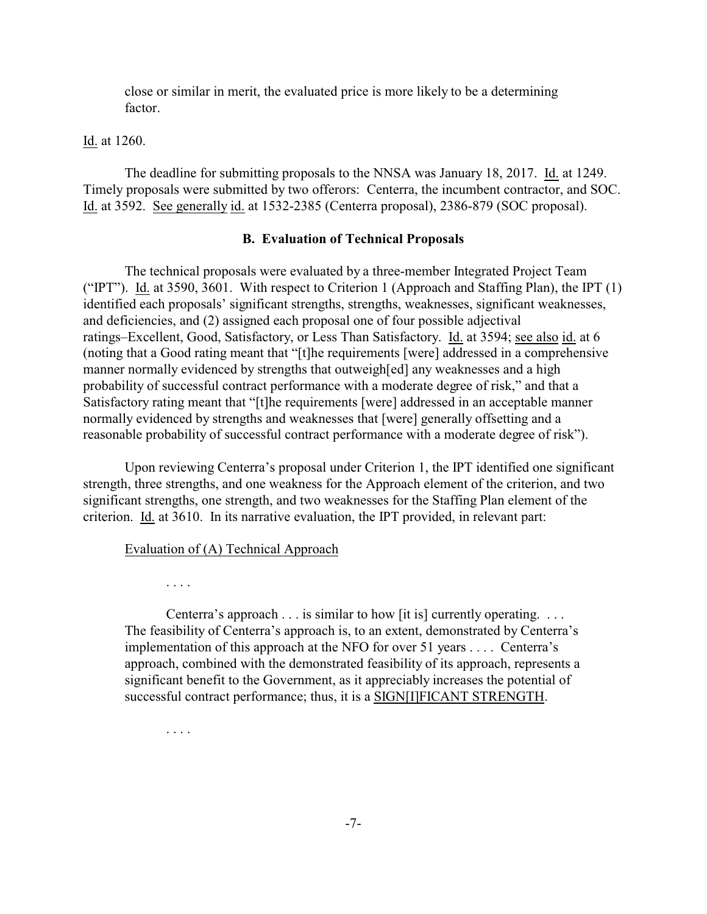close or similar in merit, the evaluated price is more likely to be a determining factor.

Id. at 1260.

The deadline for submitting proposals to the NNSA was January 18, 2017. Id. at 1249. Timely proposals were submitted by two offerors: Centerra, the incumbent contractor, and SOC. Id. at 3592. See generally id. at 1532-2385 (Centerra proposal), 2386-879 (SOC proposal).

#### **B. Evaluation of Technical Proposals**

The technical proposals were evaluated by a three-member Integrated Project Team ("IPT"). Id. at 3590, 3601. With respect to Criterion 1 (Approach and Staffing Plan), the IPT (1) identified each proposals' significant strengths, strengths, weaknesses, significant weaknesses, and deficiencies, and (2) assigned each proposal one of four possible adjectival ratings–Excellent, Good, Satisfactory, or Less Than Satisfactory. Id. at 3594; see also id. at 6 (noting that a Good rating meant that "[t]he requirements [were] addressed in a comprehensive manner normally evidenced by strengths that outweigh[ed] any weaknesses and a high probability of successful contract performance with a moderate degree of risk," and that a Satisfactory rating meant that "[t]he requirements [were] addressed in an acceptable manner normally evidenced by strengths and weaknesses that [were] generally offsetting and a reasonable probability of successful contract performance with a moderate degree of risk").

Upon reviewing Centerra's proposal under Criterion 1, the IPT identified one significant strength, three strengths, and one weakness for the Approach element of the criterion, and two significant strengths, one strength, and two weaknesses for the Staffing Plan element of the criterion. Id. at 3610. In its narrative evaluation, the IPT provided, in relevant part:

#### Evaluation of (A) Technical Approach

. . . .

. . . .

Centerra's approach . . . is similar to how [it is] currently operating. . . . The feasibility of Centerra's approach is, to an extent, demonstrated by Centerra's implementation of this approach at the NFO for over 51 years . . . . Centerra's approach, combined with the demonstrated feasibility of its approach, represents a significant benefit to the Government, as it appreciably increases the potential of successful contract performance; thus, it is a SIGN[I]FICANT STRENGTH.

-7-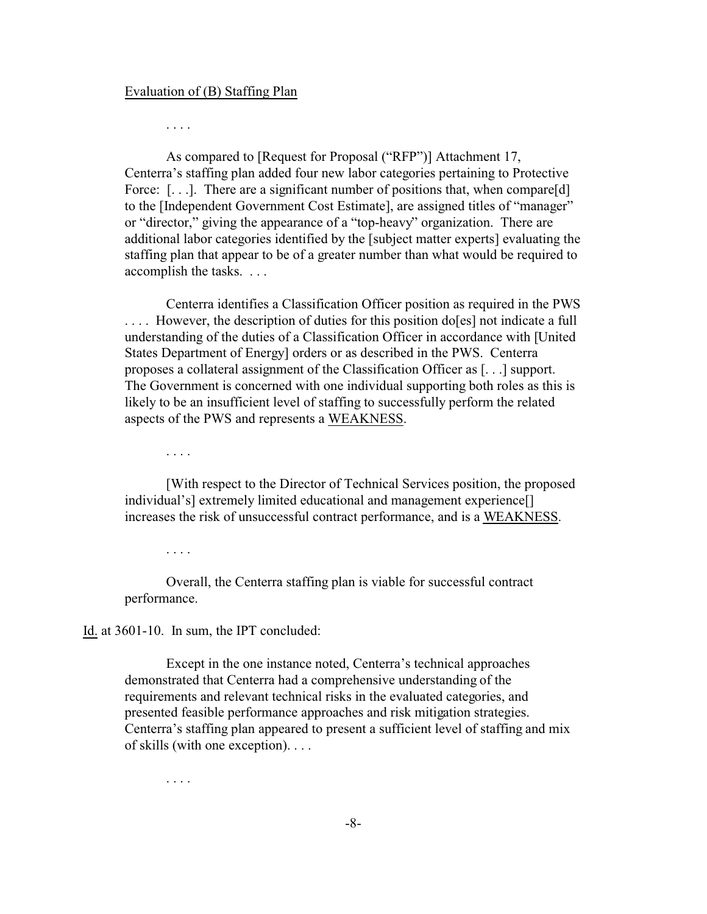#### Evaluation of (B) Staffing Plan

. . . .

As compared to [Request for Proposal ("RFP")] Attachment 17, Centerra's staffing plan added four new labor categories pertaining to Protective Force: [...]. There are a significant number of positions that, when compare[d] to the [Independent Government Cost Estimate], are assigned titles of "manager" or "director," giving the appearance of a "top-heavy" organization. There are additional labor categories identified by the [subject matter experts] evaluating the staffing plan that appear to be of a greater number than what would be required to accomplish the tasks. . . .

Centerra identifies a Classification Officer position as required in the PWS .... However, the description of duties for this position do [es] not indicate a full understanding of the duties of a Classification Officer in accordance with [United States Department of Energy] orders or as described in the PWS. Centerra proposes a collateral assignment of the Classification Officer as [. . .] support. The Government is concerned with one individual supporting both roles as this is likely to be an insufficient level of staffing to successfully perform the related aspects of the PWS and represents a WEAKNESS.

. . . .

[With respect to the Director of Technical Services position, the proposed individual's] extremely limited educational and management experience[] increases the risk of unsuccessful contract performance, and is a WEAKNESS.

. . . .

Overall, the Centerra staffing plan is viable for successful contract performance.

Id. at 3601-10. In sum, the IPT concluded:

Except in the one instance noted, Centerra's technical approaches demonstrated that Centerra had a comprehensive understanding of the requirements and relevant technical risks in the evaluated categories, and presented feasible performance approaches and risk mitigation strategies. Centerra's staffing plan appeared to present a sufficient level of staffing and mix of skills (with one exception). . . .

. . . .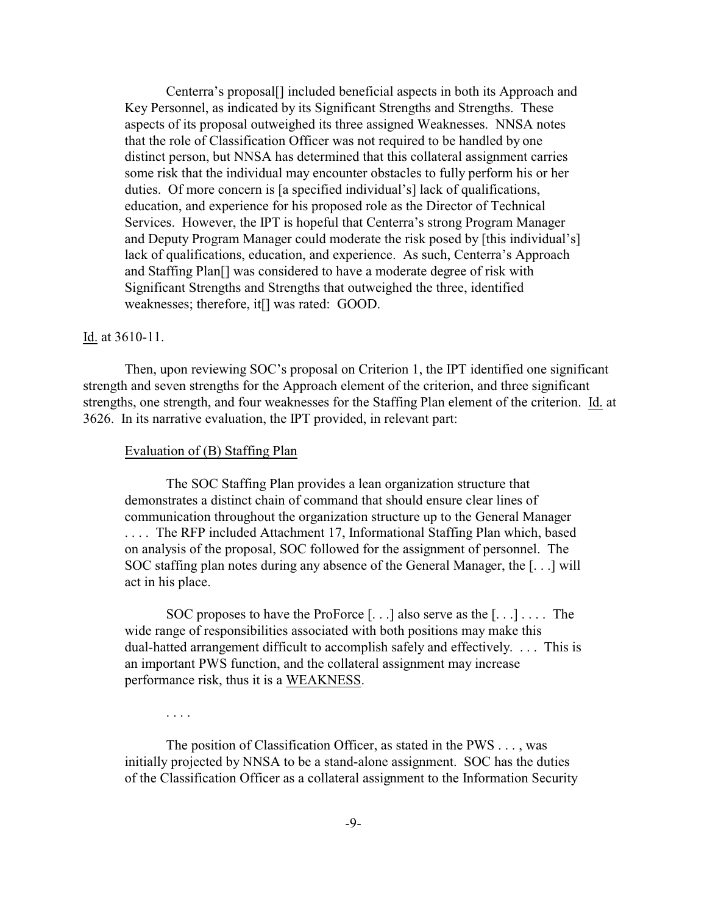Centerra's proposal[] included beneficial aspects in both its Approach and Key Personnel, as indicated by its Significant Strengths and Strengths. These aspects of its proposal outweighed its three assigned Weaknesses. NNSA notes that the role of Classification Officer was not required to be handled by one distinct person, but NNSA has determined that this collateral assignment carries some risk that the individual may encounter obstacles to fully perform his or her duties. Of more concern is [a specified individual's] lack of qualifications, education, and experience for his proposed role as the Director of Technical Services. However, the IPT is hopeful that Centerra's strong Program Manager and Deputy Program Manager could moderate the risk posed by [this individual's] lack of qualifications, education, and experience. As such, Centerra's Approach and Staffing Plan[] was considered to have a moderate degree of risk with Significant Strengths and Strengths that outweighed the three, identified weaknesses; therefore, it[] was rated: GOOD.

## Id. at 3610-11.

Then, upon reviewing SOC's proposal on Criterion 1, the IPT identified one significant strength and seven strengths for the Approach element of the criterion, and three significant strengths, one strength, and four weaknesses for the Staffing Plan element of the criterion. Id. at 3626. In its narrative evaluation, the IPT provided, in relevant part:

#### Evaluation of (B) Staffing Plan

The SOC Staffing Plan provides a lean organization structure that demonstrates a distinct chain of command that should ensure clear lines of communication throughout the organization structure up to the General Manager . . . . The RFP included Attachment 17, Informational Staffing Plan which, based on analysis of the proposal, SOC followed for the assignment of personnel. The SOC staffing plan notes during any absence of the General Manager, the [. . .] will act in his place.

SOC proposes to have the ProForce [. . .] also serve as the [. . .] . . . . The wide range of responsibilities associated with both positions may make this dual-hatted arrangement difficult to accomplish safely and effectively. . . . This is an important PWS function, and the collateral assignment may increase performance risk, thus it is a WEAKNESS.

. . . .

The position of Classification Officer, as stated in the PWS . . . , was initially projected by NNSA to be a stand-alone assignment. SOC has the duties of the Classification Officer as a collateral assignment to the Information Security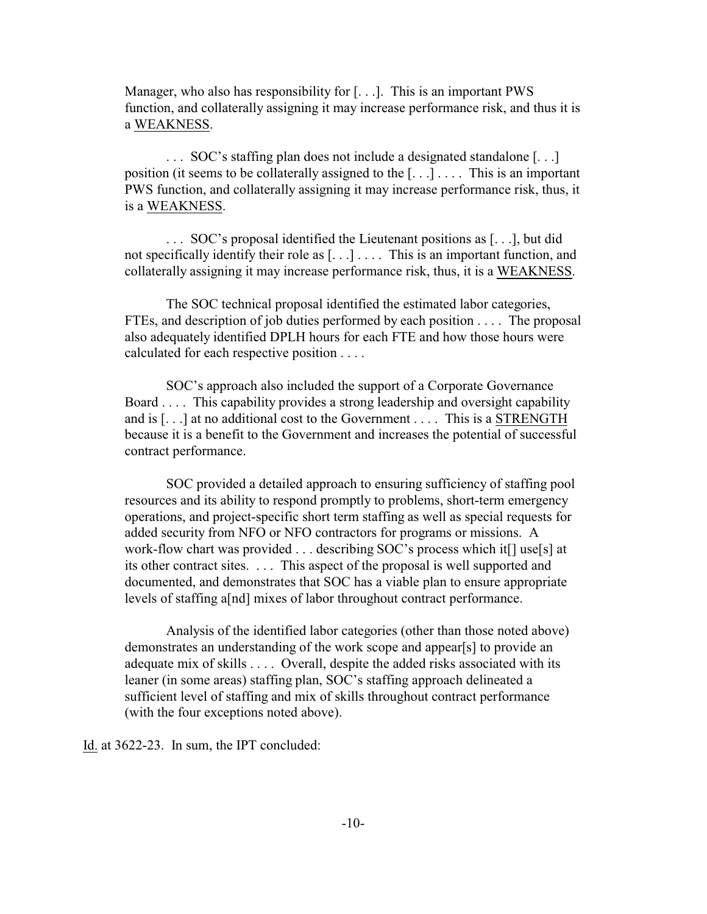Manager, who also has responsibility for [...]. This is an important PWS function, and collaterally assigning it may increase performance risk, and thus it is a WEAKNESS.

. . . SOC's staffing plan does not include a designated standalone [. . .] position (it seems to be collaterally assigned to the  $[\ldots]$ .... This is an important PWS function, and collaterally assigning it may increase performance risk, thus, it is a WEAKNESS.

. . . SOC's proposal identified the Lieutenant positions as [. . .], but did not specifically identify their role as [. . .] . . . . This is an important function, and collaterally assigning it may increase performance risk, thus, it is a WEAKNESS.

The SOC technical proposal identified the estimated labor categories, FTEs, and description of job duties performed by each position . . . . The proposal also adequately identified DPLH hours for each FTE and how those hours were calculated for each respective position . . . .

SOC's approach also included the support of a Corporate Governance Board . . . . This capability provides a strong leadership and oversight capability and is [. . .] at no additional cost to the Government . . . . This is a STRENGTH because it is a benefit to the Government and increases the potential of successful contract performance.

SOC provided a detailed approach to ensuring sufficiency of staffing pool resources and its ability to respond promptly to problems, short-term emergency operations, and project-specific short term staffing as well as special requests for added security from NFO or NFO contractors for programs or missions. A work-flow chart was provided . . . describing SOC's process which it[] use[s] at its other contract sites. . . . This aspect of the proposal is well supported and documented, and demonstrates that SOC has a viable plan to ensure appropriate levels of staffing a[nd] mixes of labor throughout contract performance.

Analysis of the identified labor categories (other than those noted above) demonstrates an understanding of the work scope and appear[s] to provide an adequate mix of skills . . . . Overall, despite the added risks associated with its leaner (in some areas) staffing plan, SOC's staffing approach delineated a sufficient level of staffing and mix of skills throughout contract performance (with the four exceptions noted above).

Id. at 3622-23. In sum, the IPT concluded: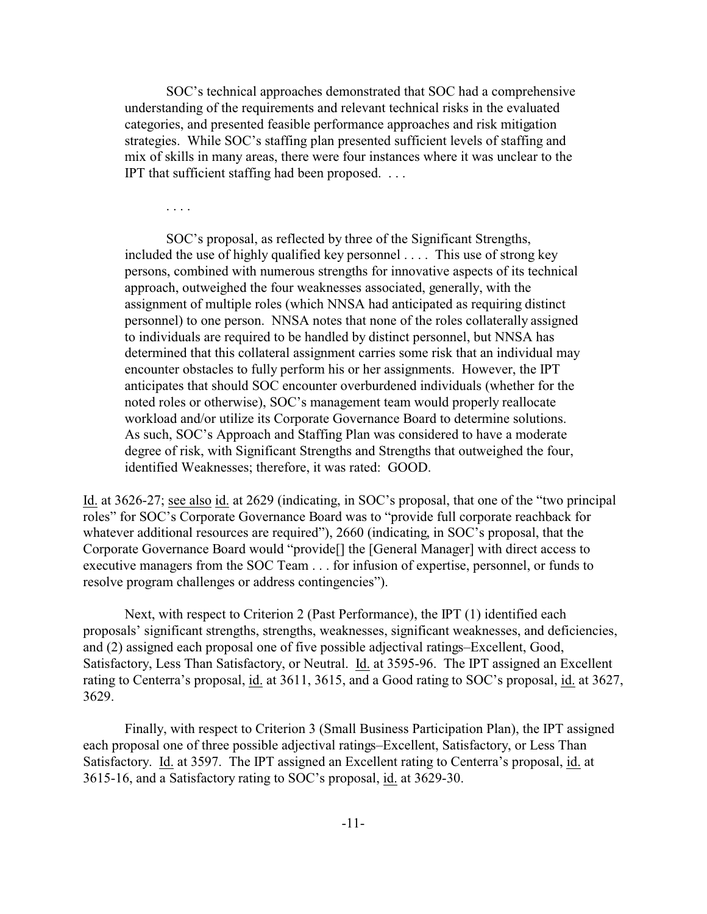SOC's technical approaches demonstrated that SOC had a comprehensive understanding of the requirements and relevant technical risks in the evaluated categories, and presented feasible performance approaches and risk mitigation strategies. While SOC's staffing plan presented sufficient levels of staffing and mix of skills in many areas, there were four instances where it was unclear to the IPT that sufficient staffing had been proposed. . . .

. . . .

SOC's proposal, as reflected by three of the Significant Strengths, included the use of highly qualified key personnel . . . . This use of strong key persons, combined with numerous strengths for innovative aspects of its technical approach, outweighed the four weaknesses associated, generally, with the assignment of multiple roles (which NNSA had anticipated as requiring distinct personnel) to one person. NNSA notes that none of the roles collaterally assigned to individuals are required to be handled by distinct personnel, but NNSA has determined that this collateral assignment carries some risk that an individual may encounter obstacles to fully perform his or her assignments. However, the IPT anticipates that should SOC encounter overburdened individuals (whether for the noted roles or otherwise), SOC's management team would properly reallocate workload and/or utilize its Corporate Governance Board to determine solutions. As such, SOC's Approach and Staffing Plan was considered to have a moderate degree of risk, with Significant Strengths and Strengths that outweighed the four, identified Weaknesses; therefore, it was rated: GOOD.

Id. at 3626-27; see also id. at 2629 (indicating, in SOC's proposal, that one of the "two principal roles" for SOC's Corporate Governance Board was to "provide full corporate reachback for whatever additional resources are required"), 2660 (indicating, in SOC's proposal, that the Corporate Governance Board would "provide[] the [General Manager] with direct access to executive managers from the SOC Team . . . for infusion of expertise, personnel, or funds to resolve program challenges or address contingencies").

Next, with respect to Criterion 2 (Past Performance), the IPT (1) identified each proposals' significant strengths, strengths, weaknesses, significant weaknesses, and deficiencies, and (2) assigned each proposal one of five possible adjectival ratings–Excellent, Good, Satisfactory, Less Than Satisfactory, or Neutral. Id. at 3595-96. The IPT assigned an Excellent rating to Centerra's proposal, id. at 3611, 3615, and a Good rating to SOC's proposal, id. at 3627, 3629.

Finally, with respect to Criterion 3 (Small Business Participation Plan), the IPT assigned each proposal one of three possible adjectival ratings–Excellent, Satisfactory, or Less Than Satisfactory. Id. at 3597. The IPT assigned an Excellent rating to Centerra's proposal, id. at 3615-16, and a Satisfactory rating to SOC's proposal, id. at 3629-30.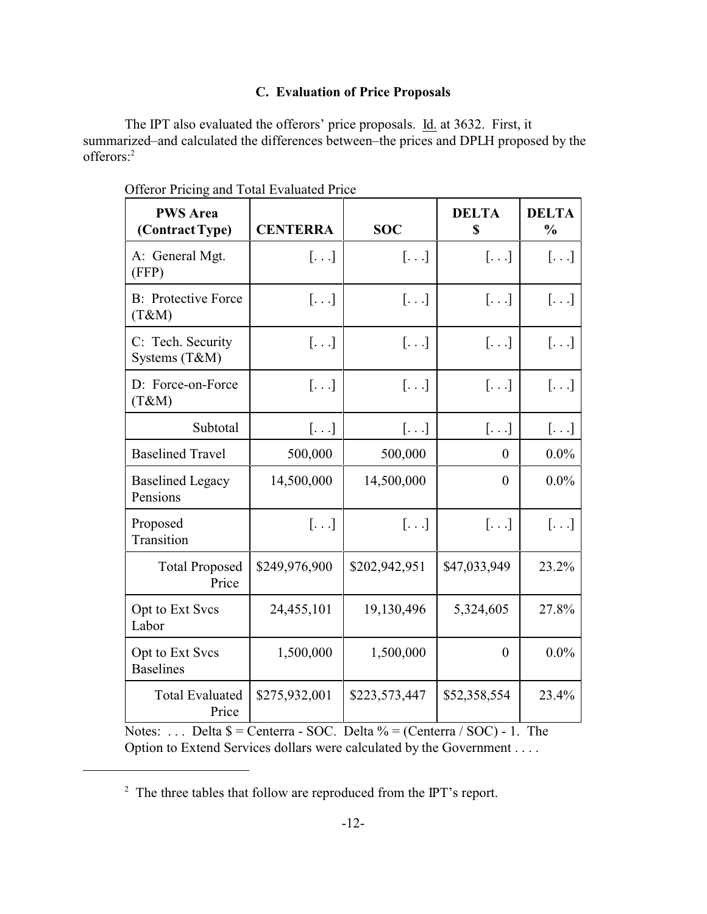# **C. Evaluation of Price Proposals**

The IPT also evaluated the offerors' price proposals. Id. at 3632. First, it summarized–and calculated the differences between–the prices and DPLH proposed by the offerors:<sup>2</sup>

| <b>PWS</b> Area<br>(Contract Type)  | <b>CENTERRA</b>       | <b>SOC</b>              | <b>DELTA</b><br>\$    | <b>DELTA</b><br>$\frac{0}{0}$ |
|-------------------------------------|-----------------------|-------------------------|-----------------------|-------------------------------|
| A: General Mgt.<br>(FFP)            | $\left[\ldots\right]$ | $[ \ldots ]$            | $[\ldots]$            | $[\ldots]$                    |
| <b>B:</b> Protective Force<br>(T&M) | $\left[\ldots\right]$ | $\left[\ldots\right]$   | $[.\ .\ .]$           | $[\ldots]$                    |
| C: Tech. Security<br>Systems (T&M)  | $\left[\ldots\right]$ | $\left[\ldots\right]$   | $\left[\ldots\right]$ | $[\ldots]$                    |
| D: Force-on-Force<br>(T&M)          | $\left[\ldots\right]$ | $\left[ \ldots \right]$ | $[ \ldots ]$          | []                            |
| Subtotal                            | $[ \ldots ]$          | $[ \ldots ]$            | $[\ldots]$            | $[ \ldots ]$                  |
| <b>Baselined Travel</b>             | 500,000               | 500,000                 | 0                     | $0.0\%$                       |
| <b>Baselined Legacy</b><br>Pensions | 14,500,000            | 14,500,000              | $\overline{0}$        | $0.0\%$                       |
| Proposed<br>Transition              | $[\ldots]$            | $[\ldots]$              | $[\ldots]$            | $[\ldots]$                    |
| <b>Total Proposed</b><br>Price      | \$249,976,900         | \$202,942,951           | \$47,033,949          | 23.2%                         |
| Opt to Ext Svcs<br>Labor            | 24,455,101            | 19,130,496              | 5,324,605             | 27.8%                         |
| Opt to Ext Svcs<br><b>Baselines</b> | 1,500,000             | 1,500,000               | $\theta$              | $0.0\%$                       |
| <b>Total Evaluated</b><br>Price     | \$275,932,001         | \$223,573,447           | \$52,358,554          | 23.4%                         |

Offeror Pricing and Total Evaluated Price

Notes: ... Delta  $\$$  = Centerra - SOC. Delta  $\%$  = (Centerra / SOC) - 1. The Option to Extend Services dollars were calculated by the Government . . . .

 $2^2$  The three tables that follow are reproduced from the IPT's report.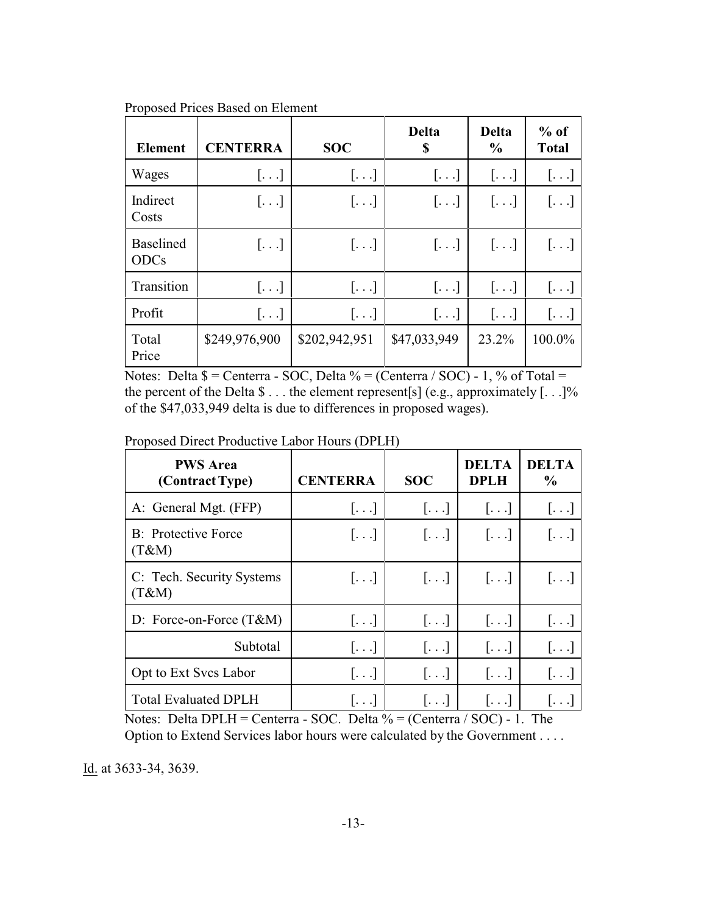| <b>Element</b>                  | <b>CENTERRA</b> | <b>SOC</b>            | <b>Delta</b><br>S | <b>Delta</b><br>$\frac{0}{0}$ | $%$ of<br><b>Total</b> |
|---------------------------------|-----------------|-----------------------|-------------------|-------------------------------|------------------------|
| Wages                           | []              | $[\ldots]$            | []                | $[\ldots]$                    | $[\ldots]$             |
| Indirect<br>Costs               | $[\ldots]$      | $[\ldots]$            | $[\ldots]$        | $[\ldots]$                    | $[ \ldots ]$           |
| <b>Baselined</b><br><b>ODCs</b> | $[\ldots]$      | $[\ldots]$            | $[\ldots]$        | $[\ldots]$                    | $[\ldots]$             |
| Transition                      | $[\ldots]$      | $[\ldots]$            | $[\ldots]$        | $\left[\ldots\right]$         | $[\ldots]$             |
| Profit                          | $[ \ldots ]$    | $\left[\ldots\right]$ | $[\ldots]$        | $[\ldots]$                    | $[\ldots]$             |
| Total<br>Price                  | \$249,976,900   | \$202,942,951         | \$47,033,949      | 23.2%                         | 100.0%                 |

Proposed Prices Based on Element

Notes: Delta  $\$$  = Centerra - SOC, Delta % = (Centerra / SOC) - 1, % of Total = the percent of the Delta  $\$\dots$  the element represent[s] (e.g., approximately [ $\dots$ ]% of the \$47,033,949 delta is due to differences in proposed wages).

Proposed Direct Productive Labor Hours (DPLH)

| <b>PWS</b> Area<br>(Contract Type)   | <b>CENTERRA</b>          | <b>SOC</b>            | <b>DELTA</b><br><b>DPLH</b> | <b>DELTA</b><br>$\frac{0}{0}$ |
|--------------------------------------|--------------------------|-----------------------|-----------------------------|-------------------------------|
| A: General Mgt. (FFP)                | $\left[ \ldots \right]$  | $[\ldots]$            | $[\ldots]$                  | $[\ldots]$                    |
| <b>B</b> : Protective Force<br>(T&M) | $\left[\ldots\right]$    | $\left[\ldots\right]$ | $\left  \ldots \right $     | $[\ldots]$                    |
| C: Tech. Security Systems<br>(T&M)   | $[\ldots]$               | $[\ldots]$            | $[\ldots]$                  | $[\ldots]$                    |
| D: Force-on-Force $(T&M)$            | $[\ldots]$               | $[\ldots]$            | []                          | []                            |
| Subtotal                             | $\left[\ldots\right]$    | $\left[\ldots\right]$ | $[\ldots]$                  | $[\ldots]$                    |
| Opt to Ext Svcs Labor                | $\lfloor \ldots \rfloor$ | $[\ldots]$            | $\left[\ldots\right]$       | $\lfloor \ldots \rfloor$      |
| <b>Total Evaluated DPLH</b>          | $ \ldots $               | $ \ldots $            | $ \ldots $                  |                               |

Notes: Delta DPLH = Centerra - SOC. Delta  $\%$  = (Centerra / SOC) - 1. The Option to Extend Services labor hours were calculated by the Government . . . .

Id. at 3633-34, 3639.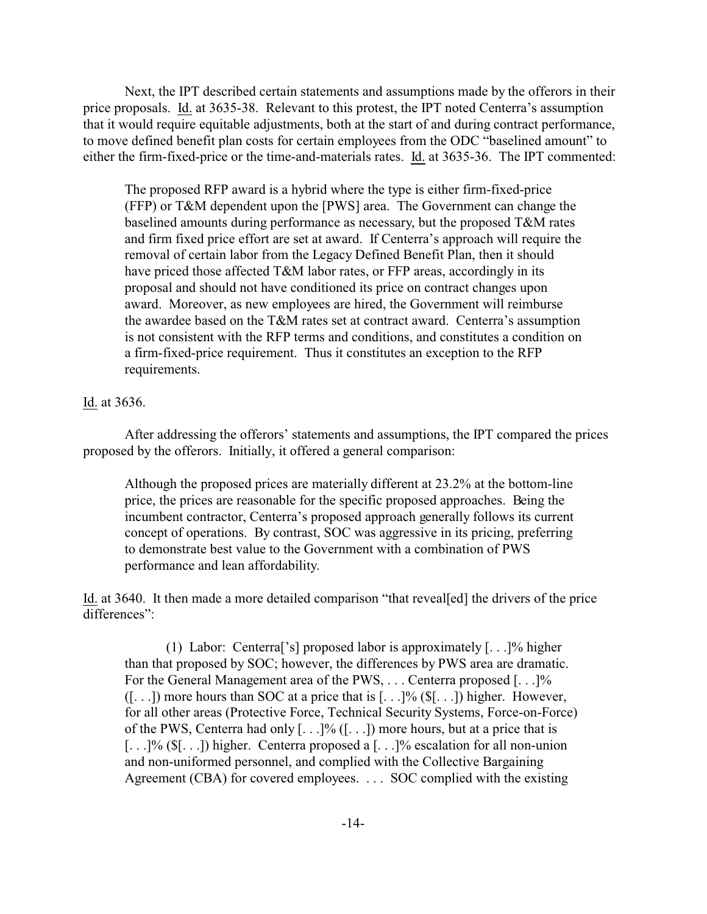Next, the IPT described certain statements and assumptions made by the offerors in their price proposals. Id. at 3635-38. Relevant to this protest, the IPT noted Centerra's assumption that it would require equitable adjustments, both at the start of and during contract performance, to move defined benefit plan costs for certain employees from the ODC "baselined amount" to either the firm-fixed-price or the time-and-materials rates. Id. at 3635-36. The IPT commented:

The proposed RFP award is a hybrid where the type is either firm-fixed-price (FFP) or T&M dependent upon the [PWS] area. The Government can change the baselined amounts during performance as necessary, but the proposed T&M rates and firm fixed price effort are set at award. If Centerra's approach will require the removal of certain labor from the Legacy Defined Benefit Plan, then it should have priced those affected T&M labor rates, or FFP areas, accordingly in its proposal and should not have conditioned its price on contract changes upon award. Moreover, as new employees are hired, the Government will reimburse the awardee based on the T&M rates set at contract award. Centerra's assumption is not consistent with the RFP terms and conditions, and constitutes a condition on a firm-fixed-price requirement. Thus it constitutes an exception to the RFP requirements.

# Id. at 3636.

After addressing the offerors' statements and assumptions, the IPT compared the prices proposed by the offerors. Initially, it offered a general comparison:

Although the proposed prices are materially different at 23.2% at the bottom-line price, the prices are reasonable for the specific proposed approaches. Being the incumbent contractor, Centerra's proposed approach generally follows its current concept of operations. By contrast, SOC was aggressive in its pricing, preferring to demonstrate best value to the Government with a combination of PWS performance and lean affordability.

Id. at 3640. It then made a more detailed comparison "that reveal[ed] the drivers of the price differences":

(1) Labor: Centerra['s] proposed labor is approximately [. . .]% higher than that proposed by SOC; however, the differences by PWS area are dramatic. For the General Management area of the PWS, ... Centerra proposed [...]%  $([-...])$  more hours than SOC at a price that is  $[...]$ %  $(\$[...])$  higher. However, for all other areas (Protective Force, Technical Security Systems, Force-on-Force) of the PWS, Centerra had only  $[...]$ %  $([...])$  more hours, but at a price that is [. . .]% (\$[. . .]) higher. Centerra proposed a [. . .]% escalation for all non-union and non-uniformed personnel, and complied with the Collective Bargaining Agreement (CBA) for covered employees. . . . SOC complied with the existing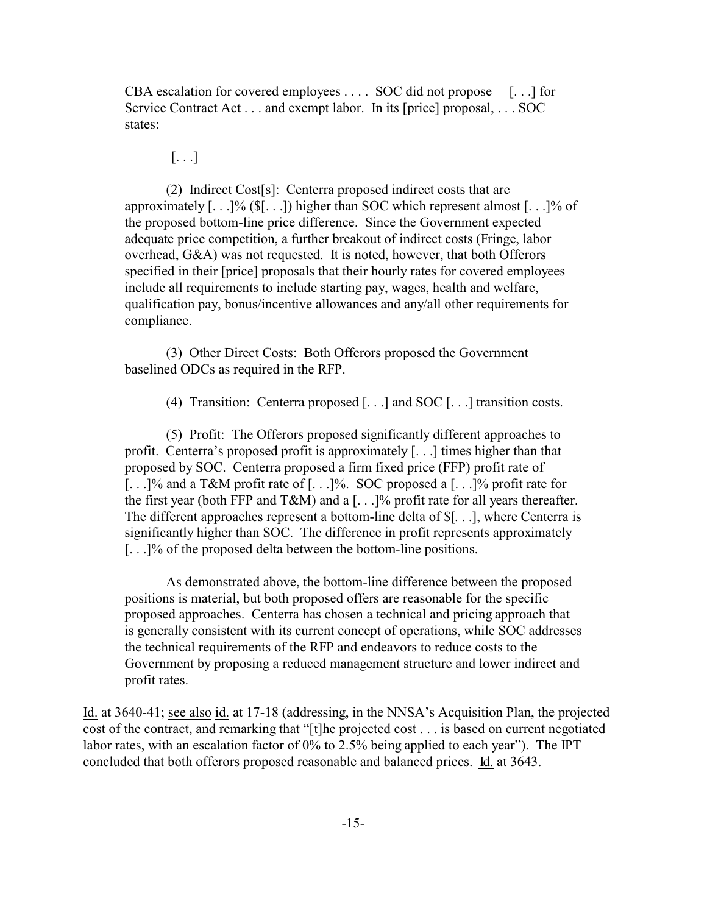CBA escalation for covered employees . . . . SOC did not propose [. . .] for Service Contract Act . . . and exempt labor. In its [price] proposal, . . . SOC states:

 $[\ldots]$ 

(2) Indirect Cost[s]: Centerra proposed indirect costs that are approximately  $[\ldots]$ % (\$ $[\ldots]$ ) higher than SOC which represent almost  $[\ldots]$ % of the proposed bottom-line price difference. Since the Government expected adequate price competition, a further breakout of indirect costs (Fringe, labor overhead, G&A) was not requested. It is noted, however, that both Offerors specified in their [price] proposals that their hourly rates for covered employees include all requirements to include starting pay, wages, health and welfare, qualification pay, bonus/incentive allowances and any/all other requirements for compliance.

(3) Other Direct Costs: Both Offerors proposed the Government baselined ODCs as required in the RFP.

(4) Transition: Centerra proposed [. . .] and SOC [. . .] transition costs.

(5) Profit: The Offerors proposed significantly different approaches to profit. Centerra's proposed profit is approximately [. . .] times higher than that proposed by SOC. Centerra proposed a firm fixed price (FFP) profit rate of [. . .]% and a T&M profit rate of [. . .]%. SOC proposed a [. . .]% profit rate for the first year (both FFP and T&M) and a [. . .]% profit rate for all years thereafter. The different approaches represent a bottom-line delta of \$[. . .], where Centerra is significantly higher than SOC. The difference in profit represents approximately [. . .]% of the proposed delta between the bottom-line positions.

As demonstrated above, the bottom-line difference between the proposed positions is material, but both proposed offers are reasonable for the specific proposed approaches. Centerra has chosen a technical and pricing approach that is generally consistent with its current concept of operations, while SOC addresses the technical requirements of the RFP and endeavors to reduce costs to the Government by proposing a reduced management structure and lower indirect and profit rates.

Id. at 3640-41; see also id. at 17-18 (addressing, in the NNSA's Acquisition Plan, the projected cost of the contract, and remarking that "[t]he projected cost . . . is based on current negotiated labor rates, with an escalation factor of 0% to 2.5% being applied to each year"). The IPT concluded that both offerors proposed reasonable and balanced prices. Id. at 3643.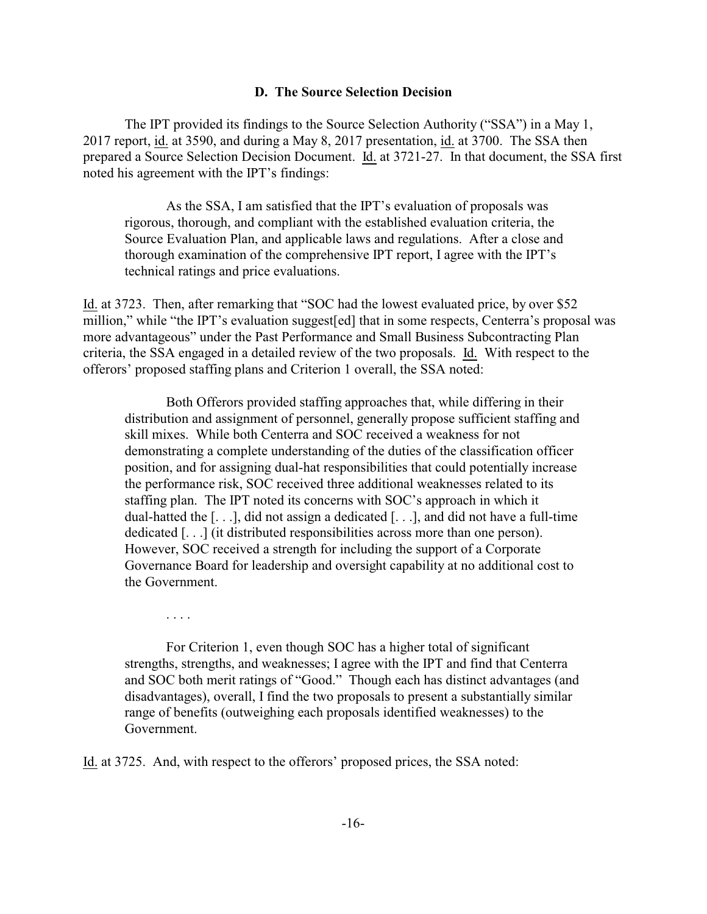#### **D. The Source Selection Decision**

The IPT provided its findings to the Source Selection Authority ("SSA") in a May 1, 2017 report, id. at 3590, and during a May 8, 2017 presentation, id. at 3700. The SSA then prepared a Source Selection Decision Document. Id. at 3721-27. In that document, the SSA first noted his agreement with the IPT's findings:

As the SSA, I am satisfied that the IPT's evaluation of proposals was rigorous, thorough, and compliant with the established evaluation criteria, the Source Evaluation Plan, and applicable laws and regulations. After a close and thorough examination of the comprehensive IPT report, I agree with the IPT's technical ratings and price evaluations.

Id. at 3723. Then, after remarking that "SOC had the lowest evaluated price, by over \$52 million," while "the IPT's evaluation suggest[ed] that in some respects, Centerra's proposal was more advantageous" under the Past Performance and Small Business Subcontracting Plan criteria, the SSA engaged in a detailed review of the two proposals. Id. With respect to the offerors' proposed staffing plans and Criterion 1 overall, the SSA noted:

Both Offerors provided staffing approaches that, while differing in their distribution and assignment of personnel, generally propose sufficient staffing and skill mixes. While both Centerra and SOC received a weakness for not demonstrating a complete understanding of the duties of the classification officer position, and for assigning dual-hat responsibilities that could potentially increase the performance risk, SOC received three additional weaknesses related to its staffing plan. The IPT noted its concerns with SOC's approach in which it dual-hatted the [. . .], did not assign a dedicated [. . .], and did not have a full-time dedicated [. . .] (it distributed responsibilities across more than one person). However, SOC received a strength for including the support of a Corporate Governance Board for leadership and oversight capability at no additional cost to the Government.

For Criterion 1, even though SOC has a higher total of significant strengths, strengths, and weaknesses; I agree with the IPT and find that Centerra and SOC both merit ratings of "Good." Though each has distinct advantages (and disadvantages), overall, I find the two proposals to present a substantially similar range of benefits (outweighing each proposals identified weaknesses) to the Government.

Id. at 3725. And, with respect to the offerors' proposed prices, the SSA noted:

. . . .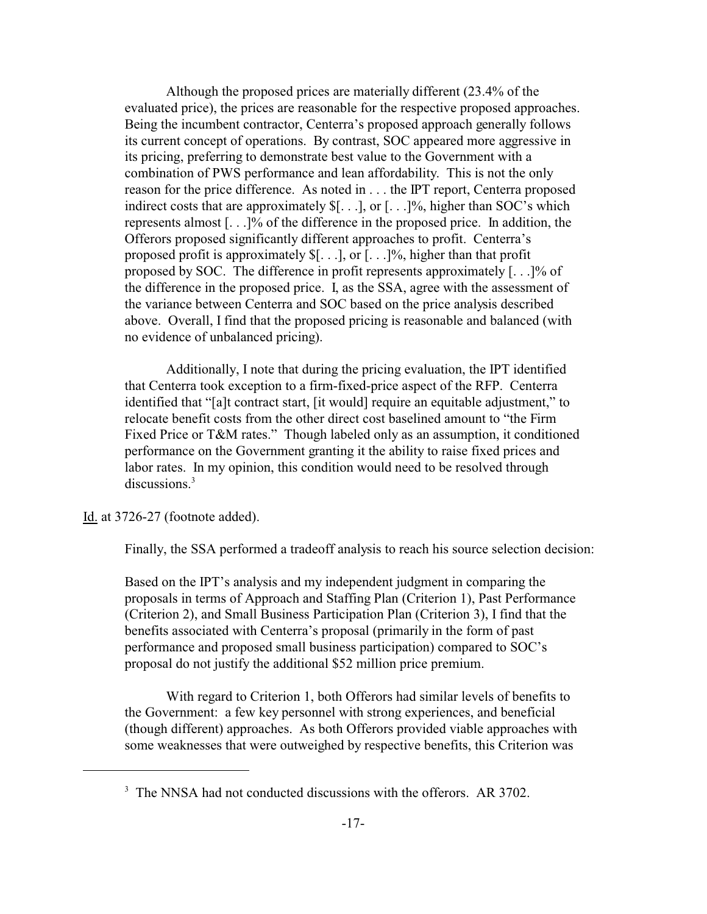Although the proposed prices are materially different (23.4% of the evaluated price), the prices are reasonable for the respective proposed approaches. Being the incumbent contractor, Centerra's proposed approach generally follows its current concept of operations. By contrast, SOC appeared more aggressive in its pricing, preferring to demonstrate best value to the Government with a combination of PWS performance and lean affordability. This is not the only reason for the price difference. As noted in . . . the IPT report, Centerra proposed indirect costs that are approximately  $\mathcal{F}[...]$ , or  $[...]$ %, higher than SOC's which represents almost [. . .]% of the difference in the proposed price. In addition, the Offerors proposed significantly different approaches to profit. Centerra's proposed profit is approximately  $\mathcal{F}[...]$ , or  $[...]$ %, higher than that profit proposed by SOC. The difference in profit represents approximately [. . .]% of the difference in the proposed price. I, as the SSA, agree with the assessment of the variance between Centerra and SOC based on the price analysis described above. Overall, I find that the proposed pricing is reasonable and balanced (with no evidence of unbalanced pricing).

Additionally, I note that during the pricing evaluation, the IPT identified that Centerra took exception to a firm-fixed-price aspect of the RFP. Centerra identified that "[a]t contract start, [it would] require an equitable adjustment," to relocate benefit costs from the other direct cost baselined amount to "the Firm Fixed Price or T&M rates." Though labeled only as an assumption, it conditioned performance on the Government granting it the ability to raise fixed prices and labor rates. In my opinion, this condition would need to be resolved through discussions.<sup>3</sup>

Id. at 3726-27 (footnote added).

Finally, the SSA performed a tradeoff analysis to reach his source selection decision:

Based on the IPT's analysis and my independent judgment in comparing the proposals in terms of Approach and Staffing Plan (Criterion 1), Past Performance (Criterion 2), and Small Business Participation Plan (Criterion 3), I find that the benefits associated with Centerra's proposal (primarily in the form of past performance and proposed small business participation) compared to SOC's proposal do not justify the additional \$52 million price premium.

With regard to Criterion 1, both Offerors had similar levels of benefits to the Government: a few key personnel with strong experiences, and beneficial (though different) approaches. As both Offerors provided viable approaches with some weaknesses that were outweighed by respective benefits, this Criterion was

<sup>&</sup>lt;sup>3</sup> The NNSA had not conducted discussions with the offerors. AR 3702.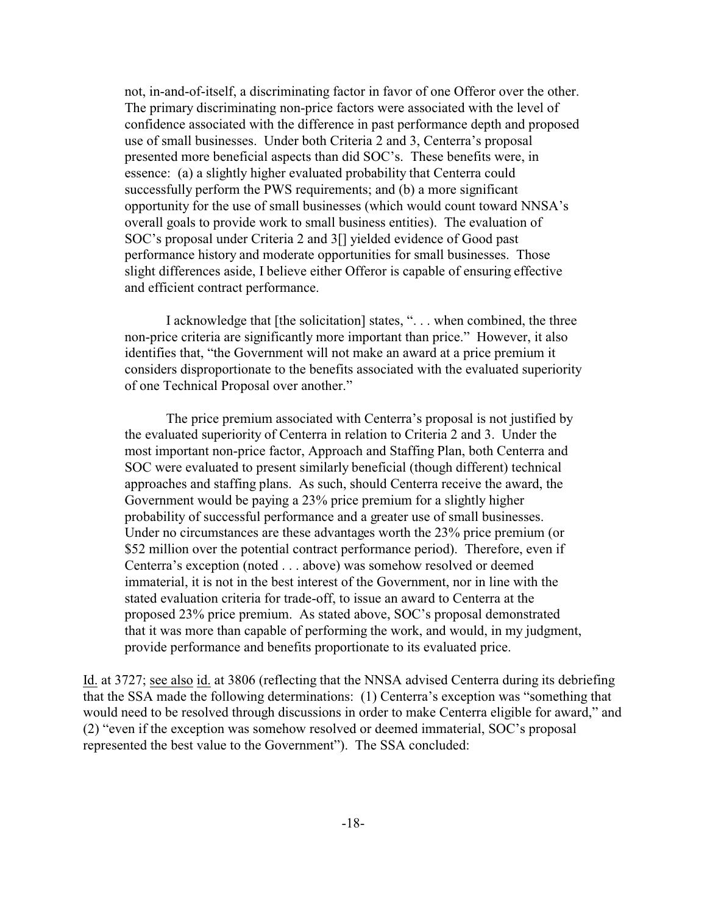not, in-and-of-itself, a discriminating factor in favor of one Offeror over the other. The primary discriminating non-price factors were associated with the level of confidence associated with the difference in past performance depth and proposed use of small businesses. Under both Criteria 2 and 3, Centerra's proposal presented more beneficial aspects than did SOC's. These benefits were, in essence: (a) a slightly higher evaluated probability that Centerra could successfully perform the PWS requirements; and (b) a more significant opportunity for the use of small businesses (which would count toward NNSA's overall goals to provide work to small business entities). The evaluation of SOC's proposal under Criteria 2 and 3[] yielded evidence of Good past performance history and moderate opportunities for small businesses. Those slight differences aside, I believe either Offeror is capable of ensuring effective and efficient contract performance.

I acknowledge that [the solicitation] states, ". . . when combined, the three non-price criteria are significantly more important than price." However, it also identifies that, "the Government will not make an award at a price premium it considers disproportionate to the benefits associated with the evaluated superiority of one Technical Proposal over another."

The price premium associated with Centerra's proposal is not justified by the evaluated superiority of Centerra in relation to Criteria 2 and 3. Under the most important non-price factor, Approach and Staffing Plan, both Centerra and SOC were evaluated to present similarly beneficial (though different) technical approaches and staffing plans. As such, should Centerra receive the award, the Government would be paying a 23% price premium for a slightly higher probability of successful performance and a greater use of small businesses. Under no circumstances are these advantages worth the 23% price premium (or \$52 million over the potential contract performance period). Therefore, even if Centerra's exception (noted . . . above) was somehow resolved or deemed immaterial, it is not in the best interest of the Government, nor in line with the stated evaluation criteria for trade-off, to issue an award to Centerra at the proposed 23% price premium. As stated above, SOC's proposal demonstrated that it was more than capable of performing the work, and would, in my judgment, provide performance and benefits proportionate to its evaluated price.

Id. at 3727; see also id. at 3806 (reflecting that the NNSA advised Centerra during its debriefing that the SSA made the following determinations: (1) Centerra's exception was "something that would need to be resolved through discussions in order to make Centerra eligible for award," and (2) "even if the exception was somehow resolved or deemed immaterial, SOC's proposal represented the best value to the Government"). The SSA concluded: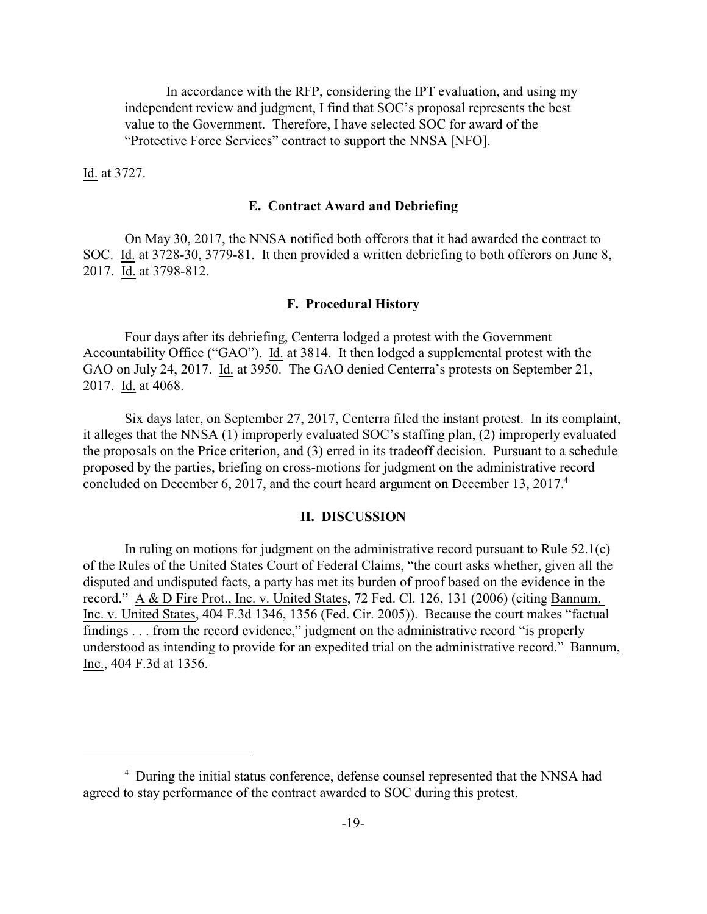In accordance with the RFP, considering the IPT evaluation, and using my independent review and judgment, I find that SOC's proposal represents the best value to the Government. Therefore, I have selected SOC for award of the "Protective Force Services" contract to support the NNSA [NFO].

Id. at 3727.

#### **E. Contract Award and Debriefing**

On May 30, 2017, the NNSA notified both offerors that it had awarded the contract to SOC. Id. at 3728-30, 3779-81. It then provided a written debriefing to both offerors on June 8, 2017. Id. at 3798-812.

#### **F. Procedural History**

Four days after its debriefing, Centerra lodged a protest with the Government Accountability Office ("GAO"). Id. at 3814. It then lodged a supplemental protest with the GAO on July 24, 2017. Id. at 3950. The GAO denied Centerra's protests on September 21, 2017. Id. at 4068.

Six days later, on September 27, 2017, Centerra filed the instant protest. In its complaint, it alleges that the NNSA (1) improperly evaluated SOC's staffing plan, (2) improperly evaluated the proposals on the Price criterion, and (3) erred in its tradeoff decision. Pursuant to a schedule proposed by the parties, briefing on cross-motions for judgment on the administrative record concluded on December 6, 2017, and the court heard argument on December 13, 2017.<sup>4</sup>

#### **II. DISCUSSION**

In ruling on motions for judgment on the administrative record pursuant to Rule  $52.1(c)$ of the Rules of the United States Court of Federal Claims, "the court asks whether, given all the disputed and undisputed facts, a party has met its burden of proof based on the evidence in the record." A & D Fire Prot., Inc. v. United States, 72 Fed. Cl. 126, 131 (2006) (citing Bannum, Inc. v. United States, 404 F.3d 1346, 1356 (Fed. Cir. 2005)). Because the court makes "factual findings . . . from the record evidence," judgment on the administrative record "is properly understood as intending to provide for an expedited trial on the administrative record." Bannum, Inc., 404 F.3d at 1356.

<sup>&</sup>lt;sup>4</sup> During the initial status conference, defense counsel represented that the NNSA had agreed to stay performance of the contract awarded to SOC during this protest.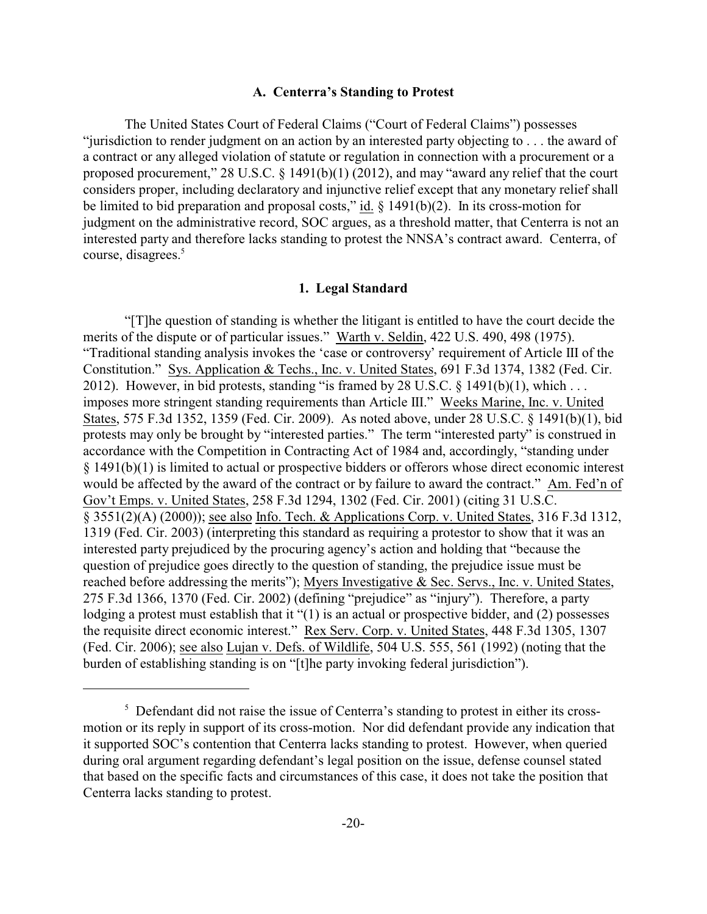#### **A. Centerra's Standing to Protest**

The United States Court of Federal Claims ("Court of Federal Claims") possesses "jurisdiction to render judgment on an action by an interested party objecting to . . . the award of a contract or any alleged violation of statute or regulation in connection with a procurement or a proposed procurement," 28 U.S.C. § 1491(b)(1) (2012), and may "award any relief that the court considers proper, including declaratory and injunctive relief except that any monetary relief shall be limited to bid preparation and proposal costs," id.  $\S$  1491(b)(2). In its cross-motion for judgment on the administrative record, SOC argues, as a threshold matter, that Centerra is not an interested party and therefore lacks standing to protest the NNSA's contract award. Centerra, of course, disagrees.<sup>5</sup>

#### **1. Legal Standard**

"[T]he question of standing is whether the litigant is entitled to have the court decide the merits of the dispute or of particular issues." Warth v. Seldin, 422 U.S. 490, 498 (1975). "Traditional standing analysis invokes the 'case or controversy' requirement of Article III of the Constitution." Sys. Application & Techs., Inc. v. United States, 691 F.3d 1374, 1382 (Fed. Cir. 2012). However, in bid protests, standing "is framed by 28 U.S.C.  $\S$  1491(b)(1), which ... imposes more stringent standing requirements than Article III." Weeks Marine, Inc. v. United States, 575 F.3d 1352, 1359 (Fed. Cir. 2009). As noted above, under 28 U.S.C. § 1491(b)(1), bid protests may only be brought by "interested parties." The term "interested party" is construed in accordance with the Competition in Contracting Act of 1984 and, accordingly, "standing under § 1491(b)(1) is limited to actual or prospective bidders or offerors whose direct economic interest would be affected by the award of the contract or by failure to award the contract." Am. Fed'n of Gov't Emps. v. United States, 258 F.3d 1294, 1302 (Fed. Cir. 2001) (citing 31 U.S.C. § 3551(2)(A) (2000)); see also Info. Tech. & Applications Corp. v. United States, 316 F.3d 1312, 1319 (Fed. Cir. 2003) (interpreting this standard as requiring a protestor to show that it was an interested party prejudiced by the procuring agency's action and holding that "because the question of prejudice goes directly to the question of standing, the prejudice issue must be reached before addressing the merits"); Myers Investigative & Sec. Servs., Inc. v. United States, 275 F.3d 1366, 1370 (Fed. Cir. 2002) (defining "prejudice" as "injury"). Therefore, a party lodging a protest must establish that it "(1) is an actual or prospective bidder, and (2) possesses the requisite direct economic interest." Rex Serv. Corp. v. United States, 448 F.3d 1305, 1307 (Fed. Cir. 2006); see also Lujan v. Defs. of Wildlife, 504 U.S. 555, 561 (1992) (noting that the burden of establishing standing is on "[t]he party invoking federal jurisdiction").

<sup>&</sup>lt;sup>5</sup> Defendant did not raise the issue of Centerra's standing to protest in either its crossmotion or its reply in support of its cross-motion. Nor did defendant provide any indication that it supported SOC's contention that Centerra lacks standing to protest. However, when queried during oral argument regarding defendant's legal position on the issue, defense counsel stated that based on the specific facts and circumstances of this case, it does not take the position that Centerra lacks standing to protest.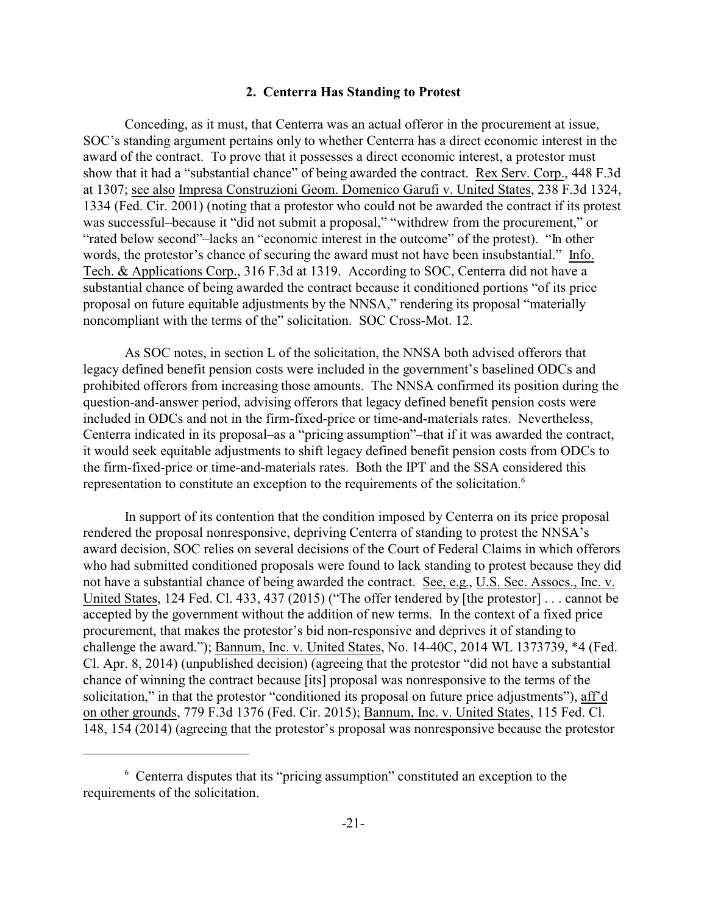#### **2. Centerra Has Standing to Protest**

Conceding, as it must, that Centerra was an actual offeror in the procurement at issue, SOC's standing argument pertains only to whether Centerra has a direct economic interest in the award of the contract. To prove that it possesses a direct economic interest, a protestor must show that it had a "substantial chance" of being awarded the contract. Rex Serv. Corp., 448 F.3d at 1307; see also Impresa Construzioni Geom. Domenico Garufi v. United States, 238 F.3d 1324, 1334 (Fed. Cir. 2001) (noting that a protestor who could not be awarded the contract if its protest was successful–because it "did not submit a proposal," "withdrew from the procurement," or "rated below second"–lacks an "economic interest in the outcome" of the protest). "In other words, the protestor's chance of securing the award must not have been insubstantial." Info. Tech. & Applications Corp., 316 F.3d at 1319. According to SOC, Centerra did not have a substantial chance of being awarded the contract because it conditioned portions "of its price proposal on future equitable adjustments by the NNSA," rendering its proposal "materially noncompliant with the terms of the" solicitation. SOC Cross-Mot. 12.

As SOC notes, in section L of the solicitation, the NNSA both advised offerors that legacy defined benefit pension costs were included in the government's baselined ODCs and prohibited offerors from increasing those amounts. The NNSA confirmed its position during the question-and-answer period, advising offerors that legacy defined benefit pension costs were included in ODCs and not in the firm-fixed-price or time-and-materials rates. Nevertheless, Centerra indicated in its proposal–as a "pricing assumption"–that if it was awarded the contract, it would seek equitable adjustments to shift legacy defined benefit pension costs from ODCs to the firm-fixed-price or time-and-materials rates. Both the IPT and the SSA considered this representation to constitute an exception to the requirements of the solicitation.<sup>6</sup>

In support of its contention that the condition imposed by Centerra on its price proposal rendered the proposal nonresponsive, depriving Centerra of standing to protest the NNSA's award decision, SOC relies on several decisions of the Court of Federal Claims in which offerors who had submitted conditioned proposals were found to lack standing to protest because they did not have a substantial chance of being awarded the contract. See, e.g., U.S. Sec. Assocs., Inc. v. United States, 124 Fed. Cl. 433, 437 (2015) ("The offer tendered by [the protestor] . . . cannot be accepted by the government without the addition of new terms. In the context of a fixed price procurement, that makes the protestor's bid non-responsive and deprives it of standing to challenge the award."); Bannum, Inc. v. United States, No. 14-40C, 2014 WL 1373739, \*4 (Fed. Cl. Apr. 8, 2014) (unpublished decision) (agreeing that the protestor "did not have a substantial chance of winning the contract because [its] proposal was nonresponsive to the terms of the solicitation," in that the protestor "conditioned its proposal on future price adjustments"), aff'd on other grounds, 779 F.3d 1376 (Fed. Cir. 2015); Bannum, Inc. v. United States, 115 Fed. Cl. 148, 154 (2014) (agreeing that the protestor's proposal was nonresponsive because the protestor

<sup>&</sup>lt;sup>6</sup> Centerra disputes that its "pricing assumption" constituted an exception to the requirements of the solicitation.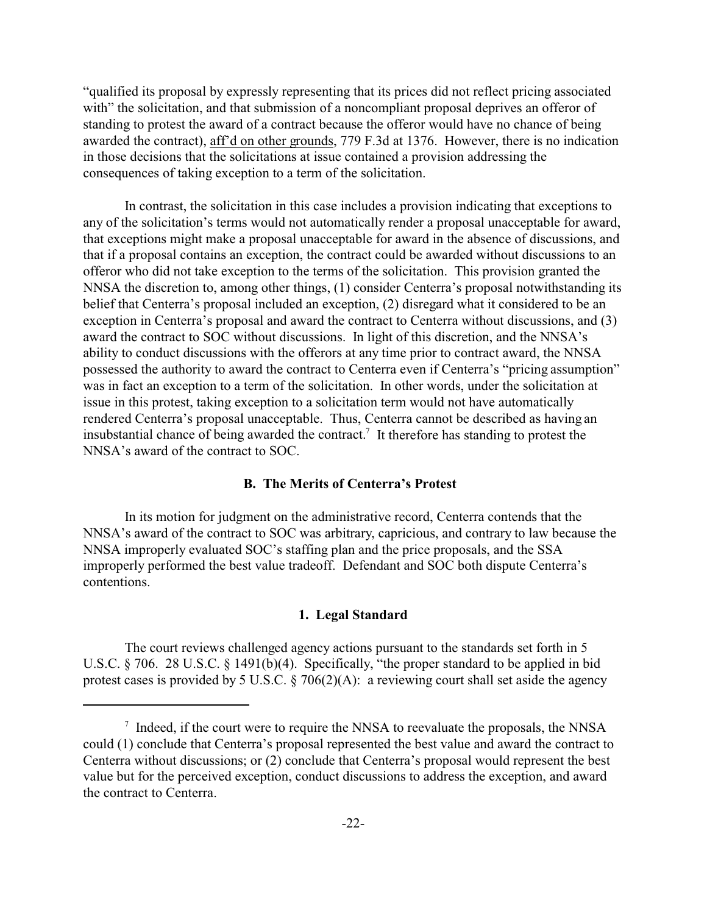"qualified its proposal by expressly representing that its prices did not reflect pricing associated with" the solicitation, and that submission of a noncompliant proposal deprives an offeror of standing to protest the award of a contract because the offeror would have no chance of being awarded the contract), aff'd on other grounds, 779 F.3d at 1376. However, there is no indication in those decisions that the solicitations at issue contained a provision addressing the consequences of taking exception to a term of the solicitation.

In contrast, the solicitation in this case includes a provision indicating that exceptions to any of the solicitation's terms would not automatically render a proposal unacceptable for award, that exceptions might make a proposal unacceptable for award in the absence of discussions, and that if a proposal contains an exception, the contract could be awarded without discussions to an offeror who did not take exception to the terms of the solicitation. This provision granted the NNSA the discretion to, among other things, (1) consider Centerra's proposal notwithstanding its belief that Centerra's proposal included an exception, (2) disregard what it considered to be an exception in Centerra's proposal and award the contract to Centerra without discussions, and (3) award the contract to SOC without discussions. In light of this discretion, and the NNSA's ability to conduct discussions with the offerors at any time prior to contract award, the NNSA possessed the authority to award the contract to Centerra even if Centerra's "pricing assumption" was in fact an exception to a term of the solicitation. In other words, under the solicitation at issue in this protest, taking exception to a solicitation term would not have automatically rendered Centerra's proposal unacceptable. Thus, Centerra cannot be described as having an insubstantial chance of being awarded the contract.<sup>7</sup> It therefore has standing to protest the NNSA's award of the contract to SOC.

# **B. The Merits of Centerra's Protest**

In its motion for judgment on the administrative record, Centerra contends that the NNSA's award of the contract to SOC was arbitrary, capricious, and contrary to law because the NNSA improperly evaluated SOC's staffing plan and the price proposals, and the SSA improperly performed the best value tradeoff. Defendant and SOC both dispute Centerra's contentions.

#### **1. Legal Standard**

The court reviews challenged agency actions pursuant to the standards set forth in 5 U.S.C. § 706. 28 U.S.C. § 1491(b)(4). Specifically, "the proper standard to be applied in bid protest cases is provided by 5 U.S.C. § 706(2)(A): a reviewing court shall set aside the agency

<sup>&</sup>lt;sup>7</sup> Indeed, if the court were to require the NNSA to reevaluate the proposals, the NNSA could (1) conclude that Centerra's proposal represented the best value and award the contract to Centerra without discussions; or (2) conclude that Centerra's proposal would represent the best value but for the perceived exception, conduct discussions to address the exception, and award the contract to Centerra.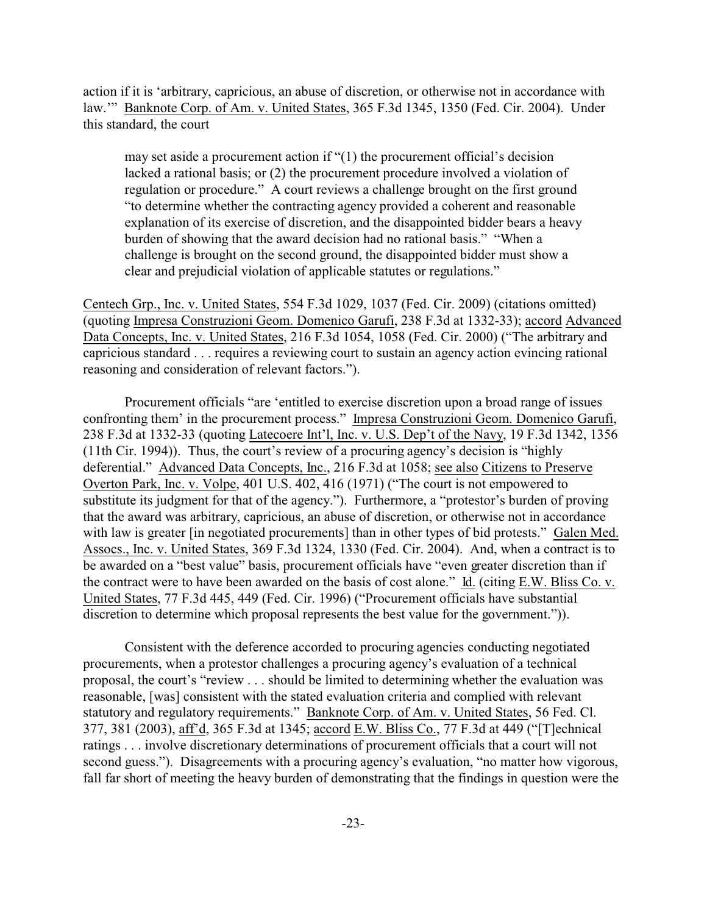action if it is 'arbitrary, capricious, an abuse of discretion, or otherwise not in accordance with law.'" Banknote Corp. of Am. v. United States, 365 F.3d 1345, 1350 (Fed. Cir. 2004). Under this standard, the court

may set aside a procurement action if "(1) the procurement official's decision lacked a rational basis; or (2) the procurement procedure involved a violation of regulation or procedure." A court reviews a challenge brought on the first ground "to determine whether the contracting agency provided a coherent and reasonable explanation of its exercise of discretion, and the disappointed bidder bears a heavy burden of showing that the award decision had no rational basis." "When a challenge is brought on the second ground, the disappointed bidder must show a clear and prejudicial violation of applicable statutes or regulations."

Centech Grp., Inc. v. United States, 554 F.3d 1029, 1037 (Fed. Cir. 2009) (citations omitted) (quoting Impresa Construzioni Geom. Domenico Garufi, 238 F.3d at 1332-33); accord Advanced Data Concepts, Inc. v. United States, 216 F.3d 1054, 1058 (Fed. Cir. 2000) ("The arbitrary and capricious standard . . . requires a reviewing court to sustain an agency action evincing rational reasoning and consideration of relevant factors.").

Procurement officials "are 'entitled to exercise discretion upon a broad range of issues confronting them' in the procurement process." Impresa Construzioni Geom. Domenico Garufi, 238 F.3d at 1332-33 (quoting Latecoere Int'l, Inc. v. U.S. Dep't of the Navy, 19 F.3d 1342, 1356 (11th Cir. 1994)). Thus, the court's review of a procuring agency's decision is "highly deferential." Advanced Data Concepts, Inc., 216 F.3d at 1058; see also Citizens to Preserve Overton Park, Inc. v. Volpe, 401 U.S. 402, 416 (1971) ("The court is not empowered to substitute its judgment for that of the agency."). Furthermore, a "protestor's burden of proving that the award was arbitrary, capricious, an abuse of discretion, or otherwise not in accordance with law is greater [in negotiated procurements] than in other types of bid protests." Galen Med. Assocs., Inc. v. United States, 369 F.3d 1324, 1330 (Fed. Cir. 2004). And, when a contract is to be awarded on a "best value" basis, procurement officials have "even greater discretion than if the contract were to have been awarded on the basis of cost alone." Id. (citing E.W. Bliss Co. v. United States, 77 F.3d 445, 449 (Fed. Cir. 1996) ("Procurement officials have substantial discretion to determine which proposal represents the best value for the government.")).

Consistent with the deference accorded to procuring agencies conducting negotiated procurements, when a protestor challenges a procuring agency's evaluation of a technical proposal, the court's "review . . . should be limited to determining whether the evaluation was reasonable, [was] consistent with the stated evaluation criteria and complied with relevant statutory and regulatory requirements." Banknote Corp. of Am. v. United States, 56 Fed. Cl. 377, 381 (2003), aff'd, 365 F.3d at 1345; accord E.W. Bliss Co., 77 F.3d at 449 ("[T]echnical ratings . . . involve discretionary determinations of procurement officials that a court will not second guess."). Disagreements with a procuring agency's evaluation, "no matter how vigorous, fall far short of meeting the heavy burden of demonstrating that the findings in question were the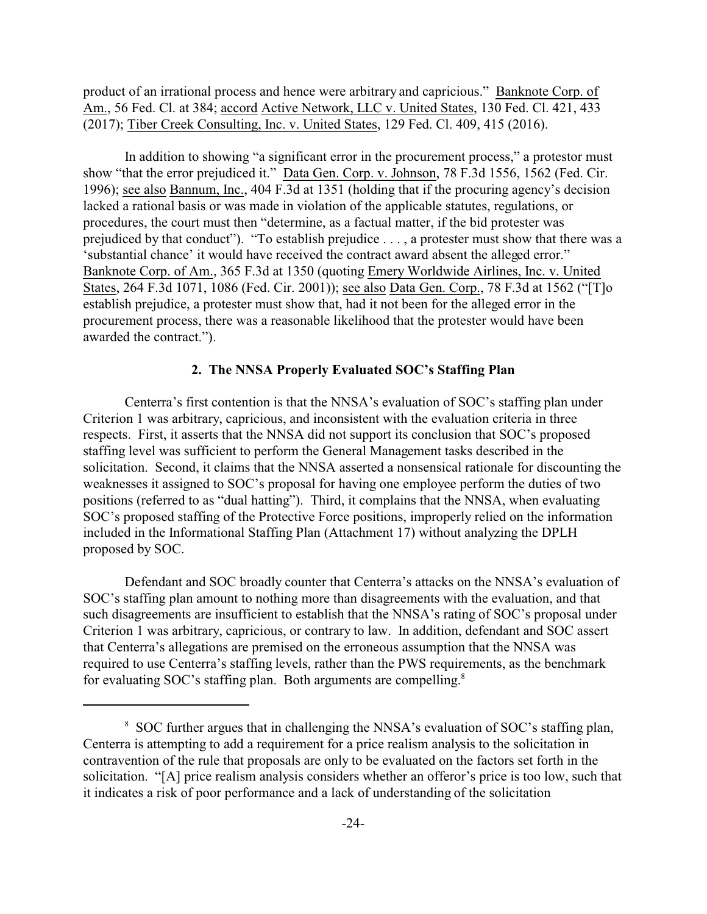product of an irrational process and hence were arbitrary and capricious." Banknote Corp. of Am., 56 Fed. Cl. at 384; accord Active Network, LLC v. United States, 130 Fed. Cl. 421, 433 (2017); Tiber Creek Consulting, Inc. v. United States, 129 Fed. Cl. 409, 415 (2016).

In addition to showing "a significant error in the procurement process," a protestor must show "that the error prejudiced it." Data Gen. Corp. v. Johnson, 78 F.3d 1556, 1562 (Fed. Cir. 1996); see also Bannum, Inc., 404 F.3d at 1351 (holding that if the procuring agency's decision lacked a rational basis or was made in violation of the applicable statutes, regulations, or procedures, the court must then "determine, as a factual matter, if the bid protester was prejudiced by that conduct"). "To establish prejudice . . . , a protester must show that there was a 'substantial chance' it would have received the contract award absent the alleged error." Banknote Corp. of Am., 365 F.3d at 1350 (quoting Emery Worldwide Airlines, Inc. v. United States, 264 F.3d 1071, 1086 (Fed. Cir. 2001)); see also Data Gen. Corp., 78 F.3d at 1562 ("[T]o establish prejudice, a protester must show that, had it not been for the alleged error in the procurement process, there was a reasonable likelihood that the protester would have been awarded the contract.").

# **2. The NNSA Properly Evaluated SOC's Staffing Plan**

Centerra's first contention is that the NNSA's evaluation of SOC's staffing plan under Criterion 1 was arbitrary, capricious, and inconsistent with the evaluation criteria in three respects. First, it asserts that the NNSA did not support its conclusion that SOC's proposed staffing level was sufficient to perform the General Management tasks described in the solicitation. Second, it claims that the NNSA asserted a nonsensical rationale for discounting the weaknesses it assigned to SOC's proposal for having one employee perform the duties of two positions (referred to as "dual hatting"). Third, it complains that the NNSA, when evaluating SOC's proposed staffing of the Protective Force positions, improperly relied on the information included in the Informational Staffing Plan (Attachment 17) without analyzing the DPLH proposed by SOC.

Defendant and SOC broadly counter that Centerra's attacks on the NNSA's evaluation of SOC's staffing plan amount to nothing more than disagreements with the evaluation, and that such disagreements are insufficient to establish that the NNSA's rating of SOC's proposal under Criterion 1 was arbitrary, capricious, or contrary to law. In addition, defendant and SOC assert that Centerra's allegations are premised on the erroneous assumption that the NNSA was required to use Centerra's staffing levels, rather than the PWS requirements, as the benchmark for evaluating SOC's staffing plan. Both arguments are compelling.<sup>8</sup>

<sup>&</sup>lt;sup>8</sup> SOC further argues that in challenging the NNSA's evaluation of SOC's staffing plan, Centerra is attempting to add a requirement for a price realism analysis to the solicitation in contravention of the rule that proposals are only to be evaluated on the factors set forth in the solicitation. "[A] price realism analysis considers whether an offeror's price is too low, such that it indicates a risk of poor performance and a lack of understanding of the solicitation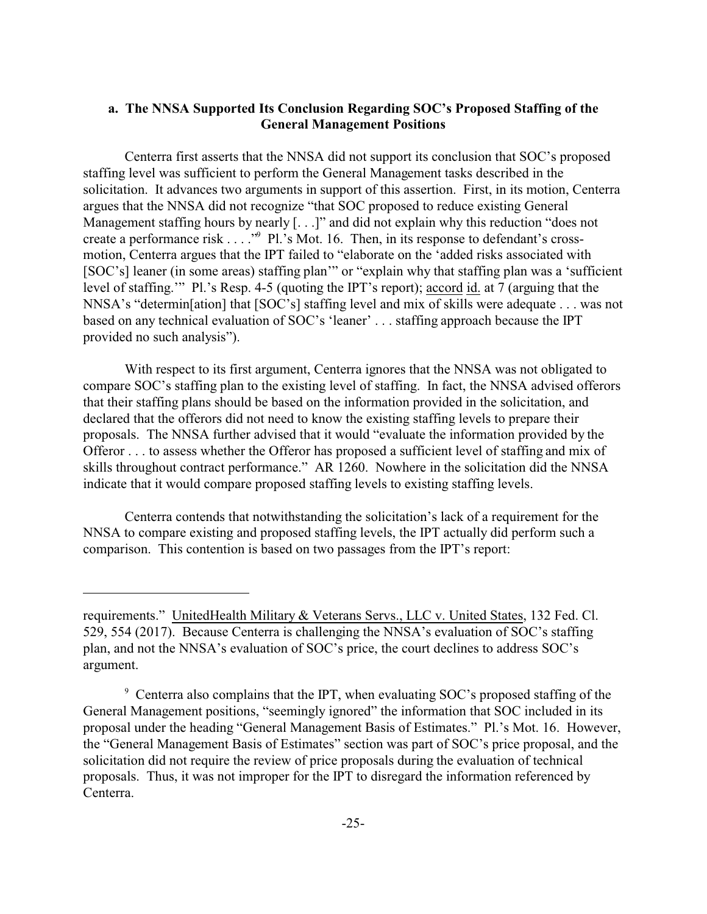# **a. The NNSA Supported Its Conclusion Regarding SOC's Proposed Staffing of the General Management Positions**

Centerra first asserts that the NNSA did not support its conclusion that SOC's proposed staffing level was sufficient to perform the General Management tasks described in the solicitation. It advances two arguments in support of this assertion. First, in its motion, Centerra argues that the NNSA did not recognize "that SOC proposed to reduce existing General Management staffing hours by nearly [...]" and did not explain why this reduction "does not create a performance risk . . . ."<sup>9</sup> Pl.'s Mot. 16. Then, in its response to defendant's crossmotion, Centerra argues that the IPT failed to "elaborate on the 'added risks associated with [SOC's] leaner (in some areas) staffing plan'" or "explain why that staffing plan was a 'sufficient level of staffing.'" Pl.'s Resp. 4-5 (quoting the IPT's report); accord id. at 7 (arguing that the NNSA's "determin[ation] that [SOC's] staffing level and mix of skills were adequate . . . was not based on any technical evaluation of SOC's 'leaner' . . . staffing approach because the IPT provided no such analysis").

With respect to its first argument, Centerra ignores that the NNSA was not obligated to compare SOC's staffing plan to the existing level of staffing. In fact, the NNSA advised offerors that their staffing plans should be based on the information provided in the solicitation, and declared that the offerors did not need to know the existing staffing levels to prepare their proposals. The NNSA further advised that it would "evaluate the information provided by the Offeror . . . to assess whether the Offeror has proposed a sufficient level of staffing and mix of skills throughout contract performance." AR 1260. Nowhere in the solicitation did the NNSA indicate that it would compare proposed staffing levels to existing staffing levels.

Centerra contends that notwithstanding the solicitation's lack of a requirement for the NNSA to compare existing and proposed staffing levels, the IPT actually did perform such a comparison. This contention is based on two passages from the IPT's report:

requirements." UnitedHealth Military & Veterans Servs., LLC v. United States, 132 Fed. Cl. 529, 554 (2017). Because Centerra is challenging the NNSA's evaluation of SOC's staffing plan, and not the NNSA's evaluation of SOC's price, the court declines to address SOC's argument.

<sup>&</sup>lt;sup>9</sup> Centerra also complains that the IPT, when evaluating SOC's proposed staffing of the General Management positions, "seemingly ignored" the information that SOC included in its proposal under the heading "General Management Basis of Estimates." Pl.'s Mot. 16. However, the "General Management Basis of Estimates" section was part of SOC's price proposal, and the solicitation did not require the review of price proposals during the evaluation of technical proposals. Thus, it was not improper for the IPT to disregard the information referenced by Centerra.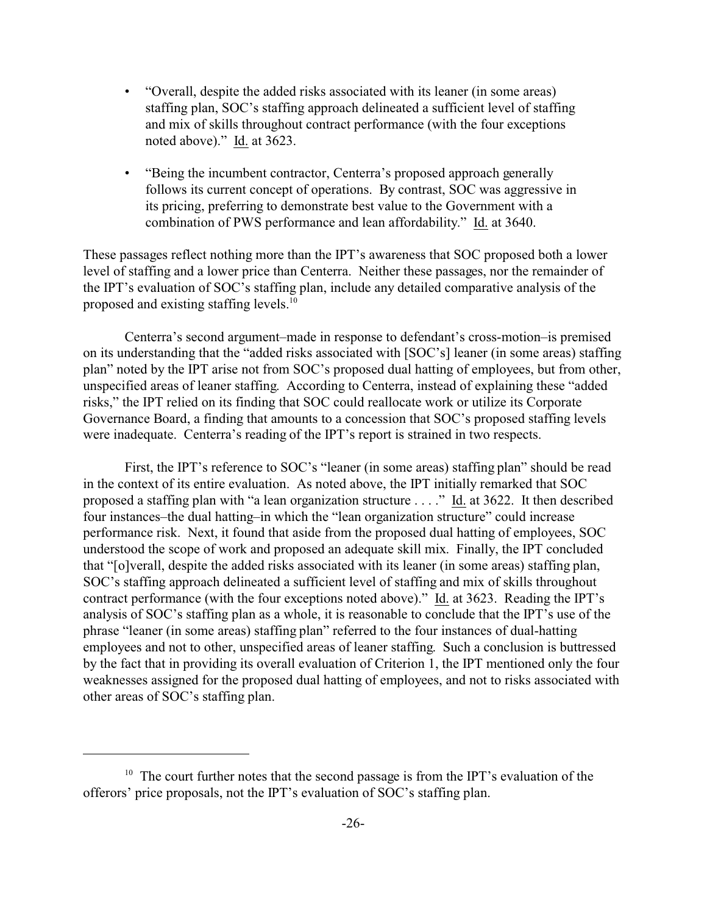- "Overall, despite the added risks associated with its leaner (in some areas) staffing plan, SOC's staffing approach delineated a sufficient level of staffing and mix of skills throughout contract performance (with the four exceptions noted above)." Id. at 3623.
- "Being the incumbent contractor, Centerra's proposed approach generally follows its current concept of operations. By contrast, SOC was aggressive in its pricing, preferring to demonstrate best value to the Government with a combination of PWS performance and lean affordability." Id. at 3640.

These passages reflect nothing more than the IPT's awareness that SOC proposed both a lower level of staffing and a lower price than Centerra. Neither these passages, nor the remainder of the IPT's evaluation of SOC's staffing plan, include any detailed comparative analysis of the proposed and existing staffing levels.<sup>10</sup>

Centerra's second argument–made in response to defendant's cross-motion–is premised on its understanding that the "added risks associated with [SOC's] leaner (in some areas) staffing plan" noted by the IPT arise not from SOC's proposed dual hatting of employees, but from other, unspecified areas of leaner staffing. According to Centerra, instead of explaining these "added risks," the IPT relied on its finding that SOC could reallocate work or utilize its Corporate Governance Board, a finding that amounts to a concession that SOC's proposed staffing levels were inadequate. Centerra's reading of the IPT's report is strained in two respects.

First, the IPT's reference to SOC's "leaner (in some areas) staffing plan" should be read in the context of its entire evaluation. As noted above, the IPT initially remarked that SOC proposed a staffing plan with "a lean organization structure . . . ." Id. at 3622. It then described four instances–the dual hatting–in which the "lean organization structure" could increase performance risk. Next, it found that aside from the proposed dual hatting of employees, SOC understood the scope of work and proposed an adequate skill mix. Finally, the IPT concluded that "[o]verall, despite the added risks associated with its leaner (in some areas) staffing plan, SOC's staffing approach delineated a sufficient level of staffing and mix of skills throughout contract performance (with the four exceptions noted above)." Id. at 3623. Reading the IPT's analysis of SOC's staffing plan as a whole, it is reasonable to conclude that the IPT's use of the phrase "leaner (in some areas) staffing plan" referred to the four instances of dual-hatting employees and not to other, unspecified areas of leaner staffing. Such a conclusion is buttressed by the fact that in providing its overall evaluation of Criterion 1, the IPT mentioned only the four weaknesses assigned for the proposed dual hatting of employees, and not to risks associated with other areas of SOC's staffing plan.

<sup>&</sup>lt;sup>10</sup> The court further notes that the second passage is from the IPT's evaluation of the offerors' price proposals, not the IPT's evaluation of SOC's staffing plan.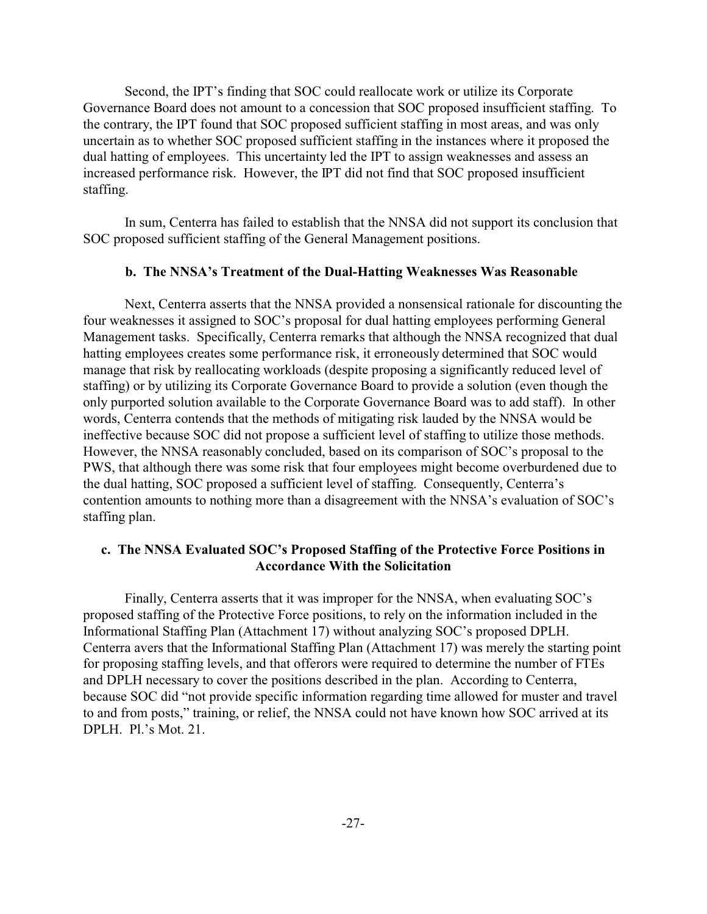Second, the IPT's finding that SOC could reallocate work or utilize its Corporate Governance Board does not amount to a concession that SOC proposed insufficient staffing. To the contrary, the IPT found that SOC proposed sufficient staffing in most areas, and was only uncertain as to whether SOC proposed sufficient staffing in the instances where it proposed the dual hatting of employees. This uncertainty led the IPT to assign weaknesses and assess an increased performance risk. However, the IPT did not find that SOC proposed insufficient staffing.

In sum, Centerra has failed to establish that the NNSA did not support its conclusion that SOC proposed sufficient staffing of the General Management positions.

#### **b. The NNSA's Treatment of the Dual-Hatting Weaknesses Was Reasonable**

Next, Centerra asserts that the NNSA provided a nonsensical rationale for discounting the four weaknesses it assigned to SOC's proposal for dual hatting employees performing General Management tasks. Specifically, Centerra remarks that although the NNSA recognized that dual hatting employees creates some performance risk, it erroneously determined that SOC would manage that risk by reallocating workloads (despite proposing a significantly reduced level of staffing) or by utilizing its Corporate Governance Board to provide a solution (even though the only purported solution available to the Corporate Governance Board was to add staff). In other words, Centerra contends that the methods of mitigating risk lauded by the NNSA would be ineffective because SOC did not propose a sufficient level of staffing to utilize those methods. However, the NNSA reasonably concluded, based on its comparison of SOC's proposal to the PWS, that although there was some risk that four employees might become overburdened due to the dual hatting, SOC proposed a sufficient level of staffing. Consequently, Centerra's contention amounts to nothing more than a disagreement with the NNSA's evaluation of SOC's staffing plan.

# **c. The NNSA Evaluated SOC's Proposed Staffing of the Protective Force Positions in Accordance With the Solicitation**

Finally, Centerra asserts that it was improper for the NNSA, when evaluating SOC's proposed staffing of the Protective Force positions, to rely on the information included in the Informational Staffing Plan (Attachment 17) without analyzing SOC's proposed DPLH. Centerra avers that the Informational Staffing Plan (Attachment 17) was merely the starting point for proposing staffing levels, and that offerors were required to determine the number of FTEs and DPLH necessary to cover the positions described in the plan. According to Centerra, because SOC did "not provide specific information regarding time allowed for muster and travel to and from posts," training, or relief, the NNSA could not have known how SOC arrived at its DPLH. Pl.'s Mot. 21.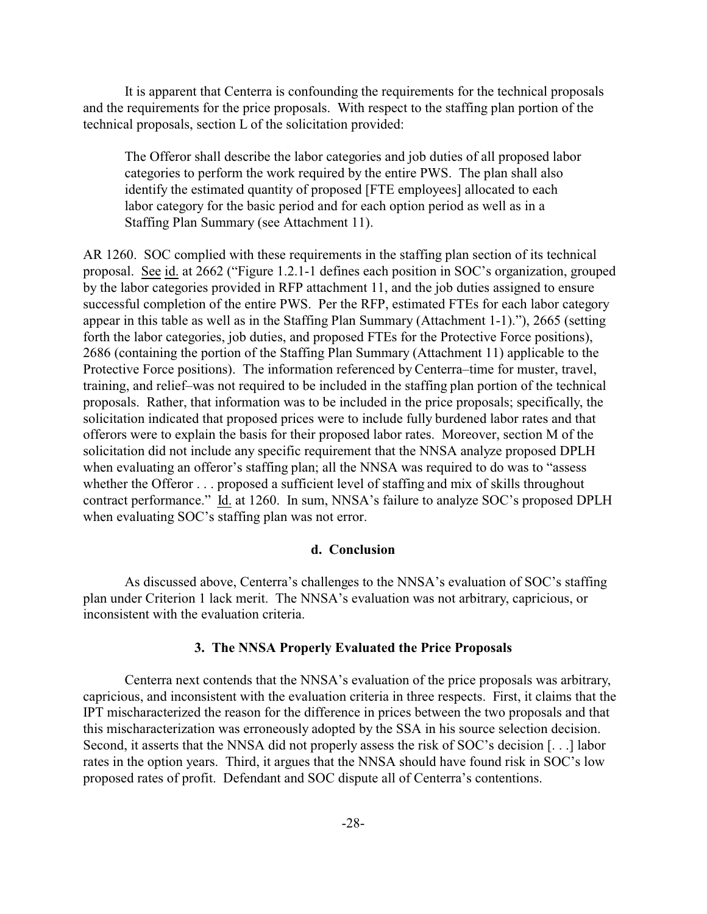It is apparent that Centerra is confounding the requirements for the technical proposals and the requirements for the price proposals. With respect to the staffing plan portion of the technical proposals, section L of the solicitation provided:

The Offeror shall describe the labor categories and job duties of all proposed labor categories to perform the work required by the entire PWS. The plan shall also identify the estimated quantity of proposed [FTE employees] allocated to each labor category for the basic period and for each option period as well as in a Staffing Plan Summary (see Attachment 11).

AR 1260. SOC complied with these requirements in the staffing plan section of its technical proposal. See id. at 2662 ("Figure 1.2.1-1 defines each position in SOC's organization, grouped by the labor categories provided in RFP attachment 11, and the job duties assigned to ensure successful completion of the entire PWS. Per the RFP, estimated FTEs for each labor category appear in this table as well as in the Staffing Plan Summary (Attachment 1-1)."), 2665 (setting forth the labor categories, job duties, and proposed FTEs for the Protective Force positions), 2686 (containing the portion of the Staffing Plan Summary (Attachment 11) applicable to the Protective Force positions). The information referenced by Centerra–time for muster, travel, training, and relief–was not required to be included in the staffing plan portion of the technical proposals. Rather, that information was to be included in the price proposals; specifically, the solicitation indicated that proposed prices were to include fully burdened labor rates and that offerors were to explain the basis for their proposed labor rates. Moreover, section M of the solicitation did not include any specific requirement that the NNSA analyze proposed DPLH when evaluating an offeror's staffing plan; all the NNSA was required to do was to "assess whether the Offeror . . . proposed a sufficient level of staffing and mix of skills throughout contract performance." Id. at 1260. In sum, NNSA's failure to analyze SOC's proposed DPLH when evaluating SOC's staffing plan was not error.

#### **d. Conclusion**

As discussed above, Centerra's challenges to the NNSA's evaluation of SOC's staffing plan under Criterion 1 lack merit. The NNSA's evaluation was not arbitrary, capricious, or inconsistent with the evaluation criteria.

## **3. The NNSA Properly Evaluated the Price Proposals**

Centerra next contends that the NNSA's evaluation of the price proposals was arbitrary, capricious, and inconsistent with the evaluation criteria in three respects. First, it claims that the IPT mischaracterized the reason for the difference in prices between the two proposals and that this mischaracterization was erroneously adopted by the SSA in his source selection decision. Second, it asserts that the NNSA did not properly assess the risk of SOC's decision [. . .] labor rates in the option years. Third, it argues that the NNSA should have found risk in SOC's low proposed rates of profit. Defendant and SOC dispute all of Centerra's contentions.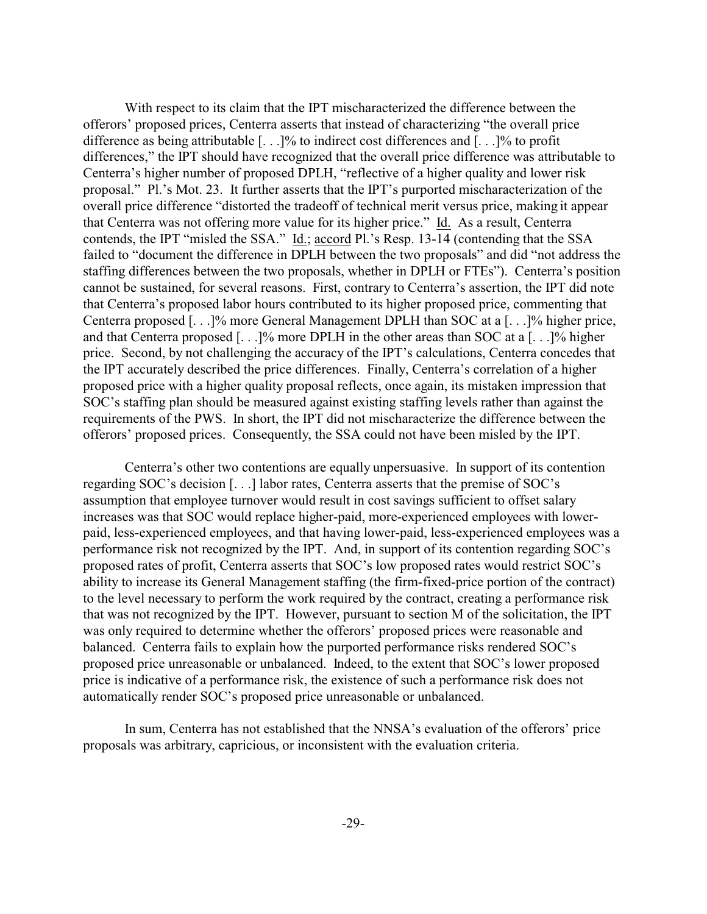With respect to its claim that the IPT mischaracterized the difference between the offerors' proposed prices, Centerra asserts that instead of characterizing "the overall price difference as being attributable [. . .]% to indirect cost differences and [. . .]% to profit differences," the IPT should have recognized that the overall price difference was attributable to Centerra's higher number of proposed DPLH, "reflective of a higher quality and lower risk proposal." Pl.'s Mot. 23. It further asserts that the IPT's purported mischaracterization of the overall price difference "distorted the tradeoff of technical merit versus price, making it appear that Centerra was not offering more value for its higher price." Id. As a result, Centerra contends, the IPT "misled the SSA." Id.; accord Pl.'s Resp. 13-14 (contending that the SSA failed to "document the difference in DPLH between the two proposals" and did "not address the staffing differences between the two proposals, whether in DPLH or FTEs"). Centerra's position cannot be sustained, for several reasons. First, contrary to Centerra's assertion, the IPT did note that Centerra's proposed labor hours contributed to its higher proposed price, commenting that Centerra proposed [. . .]% more General Management DPLH than SOC at a [. . .]% higher price, and that Centerra proposed [. . .]% more DPLH in the other areas than SOC at a [. . .]% higher price. Second, by not challenging the accuracy of the IPT's calculations, Centerra concedes that the IPT accurately described the price differences. Finally, Centerra's correlation of a higher proposed price with a higher quality proposal reflects, once again, its mistaken impression that SOC's staffing plan should be measured against existing staffing levels rather than against the requirements of the PWS. In short, the IPT did not mischaracterize the difference between the offerors' proposed prices. Consequently, the SSA could not have been misled by the IPT.

Centerra's other two contentions are equally unpersuasive. In support of its contention regarding SOC's decision [. . .] labor rates, Centerra asserts that the premise of SOC's assumption that employee turnover would result in cost savings sufficient to offset salary increases was that SOC would replace higher-paid, more-experienced employees with lowerpaid, less-experienced employees, and that having lower-paid, less-experienced employees was a performance risk not recognized by the IPT. And, in support of its contention regarding SOC's proposed rates of profit, Centerra asserts that SOC's low proposed rates would restrict SOC's ability to increase its General Management staffing (the firm-fixed-price portion of the contract) to the level necessary to perform the work required by the contract, creating a performance risk that was not recognized by the IPT. However, pursuant to section M of the solicitation, the IPT was only required to determine whether the offerors' proposed prices were reasonable and balanced. Centerra fails to explain how the purported performance risks rendered SOC's proposed price unreasonable or unbalanced. Indeed, to the extent that SOC's lower proposed price is indicative of a performance risk, the existence of such a performance risk does not automatically render SOC's proposed price unreasonable or unbalanced.

In sum, Centerra has not established that the NNSA's evaluation of the offerors' price proposals was arbitrary, capricious, or inconsistent with the evaluation criteria.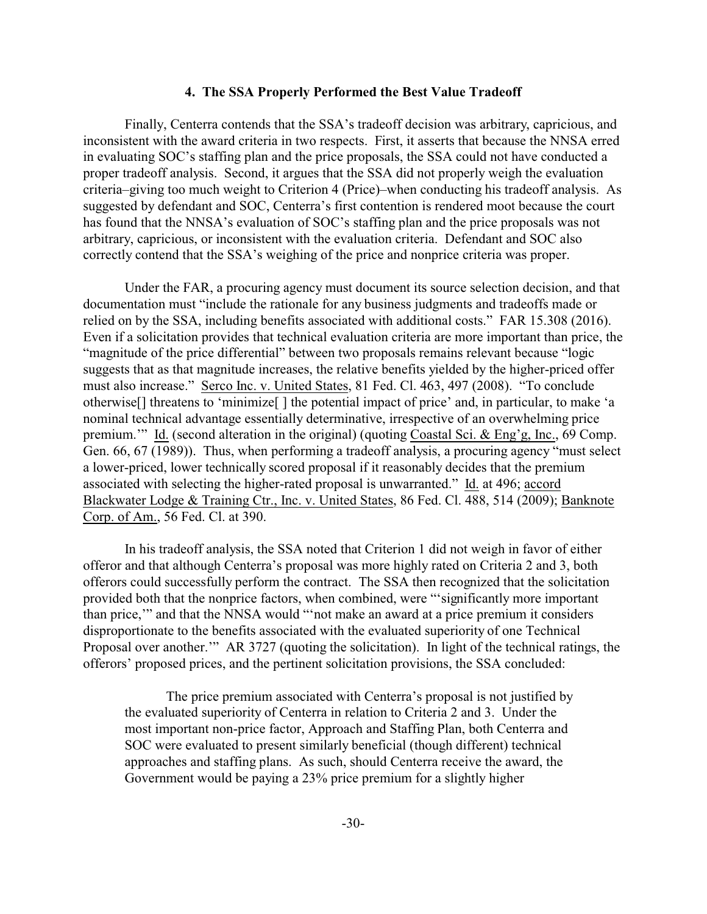#### **4. The SSA Properly Performed the Best Value Tradeoff**

Finally, Centerra contends that the SSA's tradeoff decision was arbitrary, capricious, and inconsistent with the award criteria in two respects. First, it asserts that because the NNSA erred in evaluating SOC's staffing plan and the price proposals, the SSA could not have conducted a proper tradeoff analysis. Second, it argues that the SSA did not properly weigh the evaluation criteria–giving too much weight to Criterion 4 (Price)–when conducting his tradeoff analysis. As suggested by defendant and SOC, Centerra's first contention is rendered moot because the court has found that the NNSA's evaluation of SOC's staffing plan and the price proposals was not arbitrary, capricious, or inconsistent with the evaluation criteria. Defendant and SOC also correctly contend that the SSA's weighing of the price and nonprice criteria was proper.

Under the FAR, a procuring agency must document its source selection decision, and that documentation must "include the rationale for any business judgments and tradeoffs made or relied on by the SSA, including benefits associated with additional costs." FAR 15.308 (2016). Even if a solicitation provides that technical evaluation criteria are more important than price, the "magnitude of the price differential" between two proposals remains relevant because "logic suggests that as that magnitude increases, the relative benefits yielded by the higher-priced offer must also increase." Serco Inc. v. United States, 81 Fed. Cl. 463, 497 (2008). "To conclude otherwise[] threatens to 'minimize[ ] the potential impact of price' and, in particular, to make 'a nominal technical advantage essentially determinative, irrespective of an overwhelming price premium.'" Id. (second alteration in the original) (quoting Coastal Sci. & Eng'g, Inc., 69 Comp. Gen. 66, 67 (1989)). Thus, when performing a tradeoff analysis, a procuring agency "must select a lower-priced, lower technically scored proposal if it reasonably decides that the premium associated with selecting the higher-rated proposal is unwarranted." Id. at 496; accord Blackwater Lodge & Training Ctr., Inc. v. United States, 86 Fed. Cl. 488, 514 (2009); Banknote Corp. of Am., 56 Fed. Cl. at 390.

In his tradeoff analysis, the SSA noted that Criterion 1 did not weigh in favor of either offeror and that although Centerra's proposal was more highly rated on Criteria 2 and 3, both offerors could successfully perform the contract. The SSA then recognized that the solicitation provided both that the nonprice factors, when combined, were "'significantly more important than price,'" and that the NNSA would "'not make an award at a price premium it considers disproportionate to the benefits associated with the evaluated superiority of one Technical Proposal over another.'" AR 3727 (quoting the solicitation). In light of the technical ratings, the offerors' proposed prices, and the pertinent solicitation provisions, the SSA concluded:

The price premium associated with Centerra's proposal is not justified by the evaluated superiority of Centerra in relation to Criteria 2 and 3. Under the most important non-price factor, Approach and Staffing Plan, both Centerra and SOC were evaluated to present similarly beneficial (though different) technical approaches and staffing plans. As such, should Centerra receive the award, the Government would be paying a 23% price premium for a slightly higher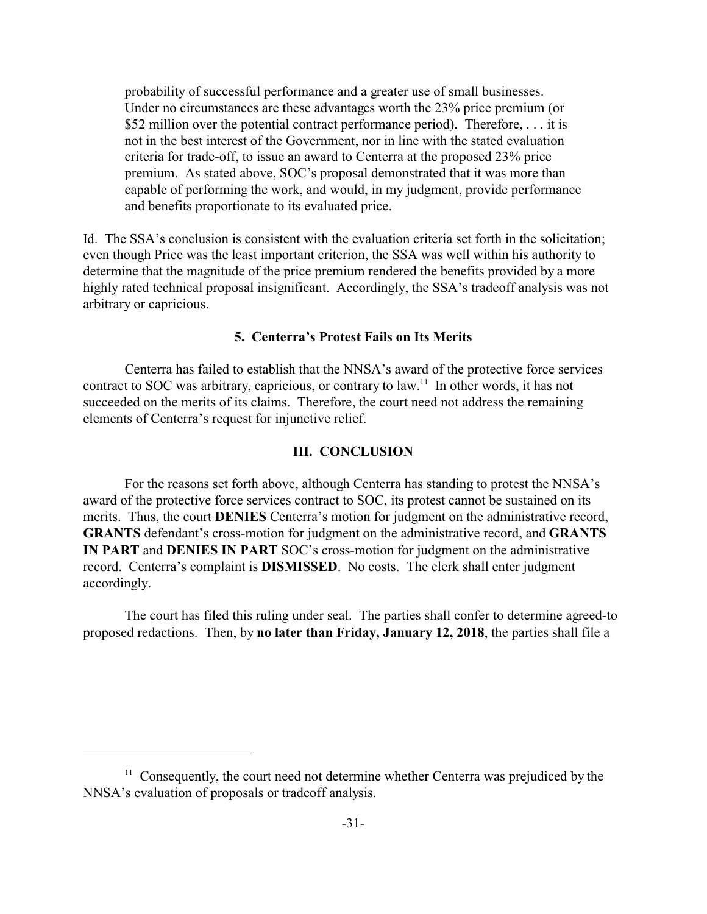probability of successful performance and a greater use of small businesses. Under no circumstances are these advantages worth the 23% price premium (or \$52 million over the potential contract performance period). Therefore, . . . it is not in the best interest of the Government, nor in line with the stated evaluation criteria for trade-off, to issue an award to Centerra at the proposed 23% price premium. As stated above, SOC's proposal demonstrated that it was more than capable of performing the work, and would, in my judgment, provide performance and benefits proportionate to its evaluated price.

Id. The SSA's conclusion is consistent with the evaluation criteria set forth in the solicitation; even though Price was the least important criterion, the SSA was well within his authority to determine that the magnitude of the price premium rendered the benefits provided by a more highly rated technical proposal insignificant. Accordingly, the SSA's tradeoff analysis was not arbitrary or capricious.

# **5. Centerra's Protest Fails on Its Merits**

Centerra has failed to establish that the NNSA's award of the protective force services contract to SOC was arbitrary, capricious, or contrary to law.<sup>11</sup> In other words, it has not succeeded on the merits of its claims. Therefore, the court need not address the remaining elements of Centerra's request for injunctive relief.

#### **III. CONCLUSION**

For the reasons set forth above, although Centerra has standing to protest the NNSA's award of the protective force services contract to SOC, its protest cannot be sustained on its merits. Thus, the court **DENIES** Centerra's motion for judgment on the administrative record, **GRANTS** defendant's cross-motion for judgment on the administrative record, and **GRANTS IN PART** and **DENIES IN PART** SOC's cross-motion for judgment on the administrative record. Centerra's complaint is **DISMISSED**. No costs. The clerk shall enter judgment accordingly.

The court has filed this ruling under seal. The parties shall confer to determine agreed-to proposed redactions. Then, by **no later than Friday, January 12, 2018**, the parties shall file a

<sup>&</sup>lt;sup>11</sup> Consequently, the court need not determine whether Centerra was prejudiced by the NNSA's evaluation of proposals or tradeoff analysis.